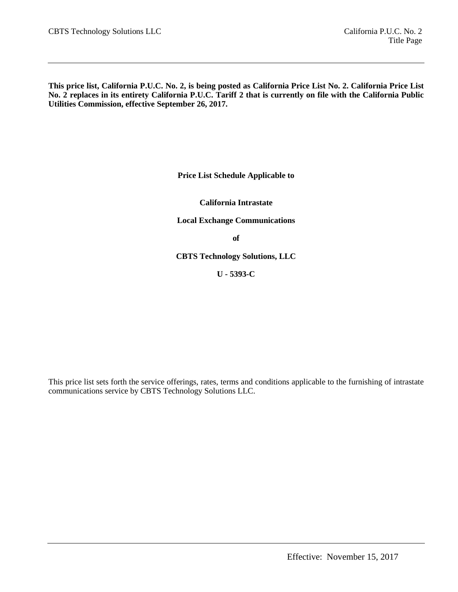**This price list, California P.U.C. No. 2, is being posted as California Price List No. 2. California Price List No. 2 replaces in its entirety California P.U.C. Tariff 2 that is currently on file with the California Public Utilities Commission, effective September 26, 2017.**

**Price List Schedule Applicable to**

**California Intrastate**

**Local Exchange Communications**

**of**

**CBTS Technology Solutions, LLC** 

**U - 5393-C**

This price list sets forth the service offerings, rates, terms and conditions applicable to the furnishing of intrastate communications service by CBTS Technology Solutions LLC.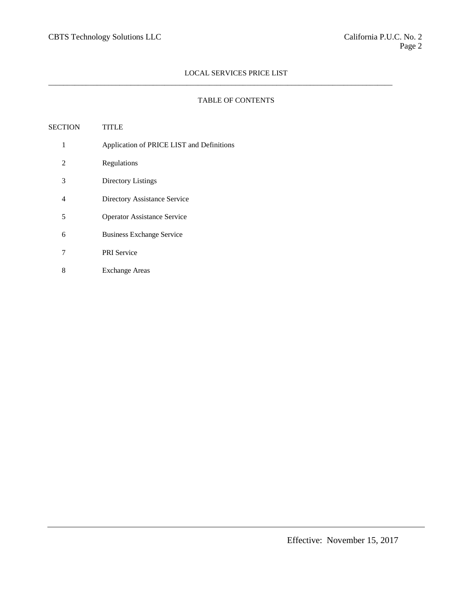$\_$  ,  $\_$  ,  $\_$  ,  $\_$  ,  $\_$  ,  $\_$  ,  $\_$  ,  $\_$  ,  $\_$  ,  $\_$  ,  $\_$  ,  $\_$  ,  $\_$  ,  $\_$  ,  $\_$  ,  $\_$  ,  $\_$  ,  $\_$  ,  $\_$  ,  $\_$  ,  $\_$  ,  $\_$  ,  $\_$  ,  $\_$  ,  $\_$  ,  $\_$  ,  $\_$  ,  $\_$  ,  $\_$  ,  $\_$  ,  $\_$  ,  $\_$  ,  $\_$  ,  $\_$  ,  $\_$  ,  $\_$  ,  $\_$  ,

# TABLE OF CONTENTS

| SECTION | TITLE                                     |
|---------|-------------------------------------------|
| 1       | Application of PRICE LIST and Definitions |
| 2       | Regulations                               |
| 3       | Directory Listings                        |
| 4       | Directory Assistance Service              |
| 5       | <b>Operator Assistance Service</b>        |
| 6       | <b>Business Exchange Service</b>          |
| 7       | <b>PRI</b> Service                        |
| 8       | <b>Exchange Areas</b>                     |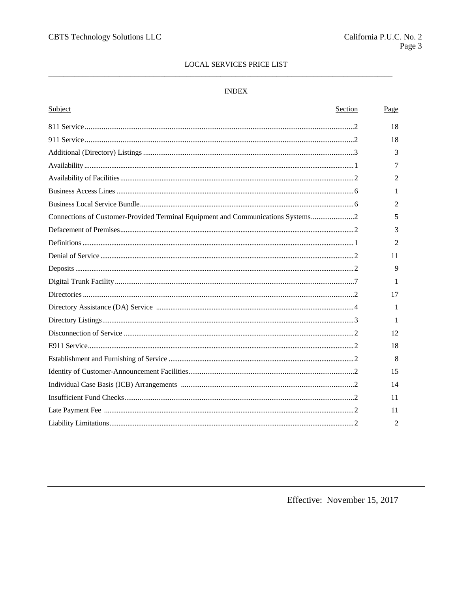# **INDEX**

| Subject                                                                         | <b>Section</b> | Page           |
|---------------------------------------------------------------------------------|----------------|----------------|
|                                                                                 |                | 18             |
|                                                                                 |                | 18             |
|                                                                                 |                | 3              |
|                                                                                 |                | 7              |
|                                                                                 |                | $\overline{2}$ |
|                                                                                 |                | 1              |
|                                                                                 |                | 2              |
| Connections of Customer-Provided Terminal Equipment and Communications Systems2 |                | 5              |
|                                                                                 |                | 3              |
|                                                                                 |                | 2              |
|                                                                                 |                | 11             |
|                                                                                 |                | 9              |
|                                                                                 |                | 1              |
|                                                                                 |                | 17             |
|                                                                                 |                | 1              |
|                                                                                 |                | 1              |
|                                                                                 |                | 12             |
|                                                                                 |                | 18             |
|                                                                                 |                | 8              |
|                                                                                 |                | 15             |
|                                                                                 |                | 14             |
|                                                                                 |                | 11             |
|                                                                                 |                | 11             |
|                                                                                 |                | 2              |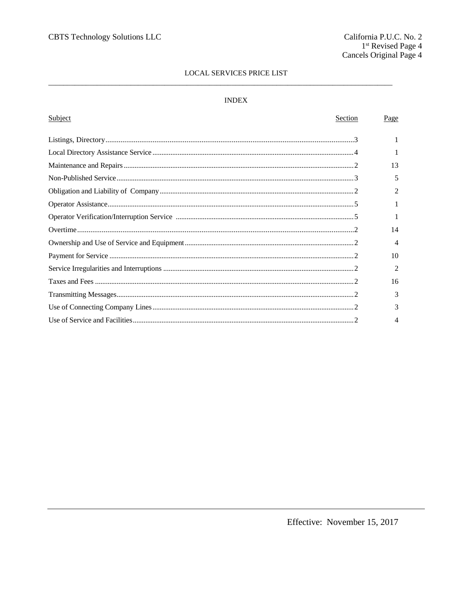# $\ensuremath{\mathsf{INDEX}}$

| Subject<br>Section | Page           |
|--------------------|----------------|
|                    |                |
|                    |                |
|                    |                |
|                    | 13             |
|                    | 5              |
|                    | $\mathfrak{D}$ |
|                    |                |
|                    | 1              |
|                    | 14             |
|                    | 4              |
|                    | 10             |
|                    | $\mathfrak{D}$ |
|                    | 16             |
|                    | 3              |
|                    | 3              |
|                    | 4              |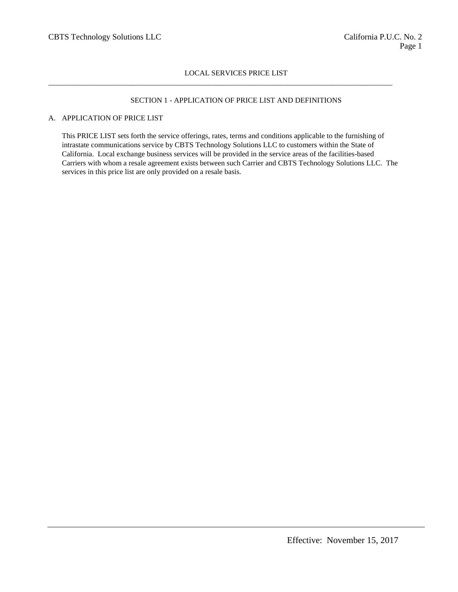$\_$  ,  $\_$  ,  $\_$  ,  $\_$  ,  $\_$  ,  $\_$  ,  $\_$  ,  $\_$  ,  $\_$  ,  $\_$  ,  $\_$  ,  $\_$  ,  $\_$  ,  $\_$  ,  $\_$  ,  $\_$  ,  $\_$  ,  $\_$  ,  $\_$  ,  $\_$  ,  $\_$  ,  $\_$  ,  $\_$  ,  $\_$  ,  $\_$  ,  $\_$  ,  $\_$  ,  $\_$  ,  $\_$  ,  $\_$  ,  $\_$  ,  $\_$  ,  $\_$  ,  $\_$  ,  $\_$  ,  $\_$  ,  $\_$  ,

# SECTION 1 - APPLICATION OF PRICE LIST AND DEFINITIONS

## A. APPLICATION OF PRICE LIST

This PRICE LIST sets forth the service offerings, rates, terms and conditions applicable to the furnishing of intrastate communications service by CBTS Technology Solutions LLC to customers within the State of California. Local exchange business services will be provided in the service areas of the facilities-based Carriers with whom a resale agreement exists between such Carrier and CBTS Technology Solutions LLC. The services in this price list are only provided on a resale basis.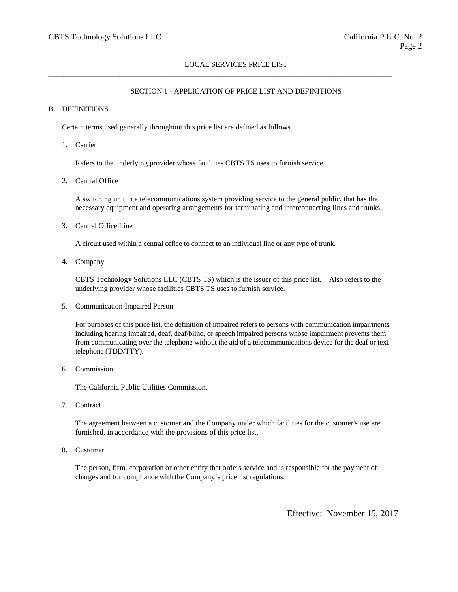$\_$  ,  $\_$  ,  $\_$  ,  $\_$  ,  $\_$  ,  $\_$  ,  $\_$  ,  $\_$  ,  $\_$  ,  $\_$  ,  $\_$  ,  $\_$  ,  $\_$  ,  $\_$  ,  $\_$  ,  $\_$  ,  $\_$  ,  $\_$  ,  $\_$  ,  $\_$  ,  $\_$  ,  $\_$  ,  $\_$  ,  $\_$  ,  $\_$  ,  $\_$  ,  $\_$  ,  $\_$  ,  $\_$  ,  $\_$  ,  $\_$  ,  $\_$  ,  $\_$  ,  $\_$  ,  $\_$  ,  $\_$  ,  $\_$  ,

# SECTION 1 - APPLICATION OF PRICE LIST AND DEFINITIONS

### B. DEFINITIONS

Certain terms used generally throughout this price list are defined as follows.

1. Carrier

Refers to the underlying provider whose facilities CBTS TS uses to furnish service.

2. Central Office

A switching unit in a telecommunications system providing service to the general public, that has the necessary equipment and operating arrangements for terminating and interconnecting lines and trunks.

3. Central Office Line

A circuit used within a central office to connect to an individual line or any type of trunk.

4. Company

CBTS Technology Solutions LLC (CBTS TS) which is the issuer of this price list. Also refers to the underlying provider whose facilities CBTS TS uses to furnish service.

5. Communication-Impaired Person

For purposes of this price list, the definition of impaired refers to persons with communication impairments, including hearing impaired, deaf, deaf/blind, or speech impaired persons whose impairment prevents them from communicating over the telephone without the aid of a telecommunications device for the deaf or text telephone (TDD/TTY).

6. Commission

The California Public Utilities Commission.

7. Contract

The agreement between a customer and the Company under which facilities for the customer's use are furnished, in accordance with the provisions of this price list.

8. Customer

The person, firm, corporation or other entity that orders service and is responsible for the payment of charges and for compliance with the Company's price list regulations.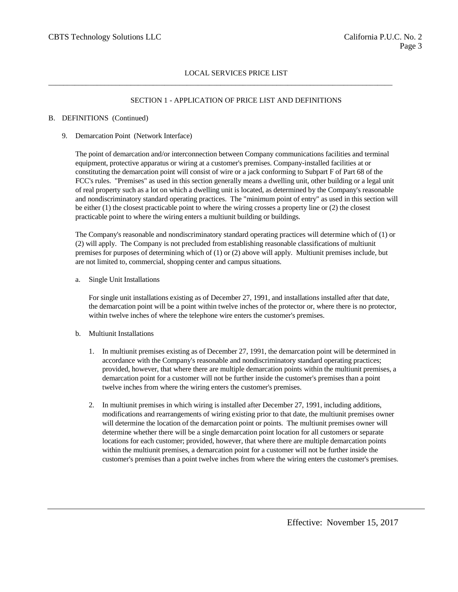$\_$  ,  $\_$  ,  $\_$  ,  $\_$  ,  $\_$  ,  $\_$  ,  $\_$  ,  $\_$  ,  $\_$  ,  $\_$  ,  $\_$  ,  $\_$  ,  $\_$  ,  $\_$  ,  $\_$  ,  $\_$  ,  $\_$  ,  $\_$  ,  $\_$  ,  $\_$  ,  $\_$  ,  $\_$  ,  $\_$  ,  $\_$  ,  $\_$  ,  $\_$  ,  $\_$  ,  $\_$  ,  $\_$  ,  $\_$  ,  $\_$  ,  $\_$  ,  $\_$  ,  $\_$  ,  $\_$  ,  $\_$  ,  $\_$  ,

# SECTION 1 - APPLICATION OF PRICE LIST AND DEFINITIONS

### B. DEFINITIONS (Continued)

### 9. Demarcation Point (Network Interface)

The point of demarcation and/or interconnection between Company communications facilities and terminal equipment, protective apparatus or wiring at a customer's premises. Company-installed facilities at or constituting the demarcation point will consist of wire or a jack conforming to Subpart F of Part 68 of the FCC's rules. "Premises" as used in this section generally means a dwelling unit, other building or a legal unit of real property such as a lot on which a dwelling unit is located, as determined by the Company's reasonable and nondiscriminatory standard operating practices. The "minimum point of entry" as used in this section will be either (1) the closest practicable point to where the wiring crosses a property line or (2) the closest practicable point to where the wiring enters a multiunit building or buildings.

The Company's reasonable and nondiscriminatory standard operating practices will determine which of (1) or (2) will apply. The Company is not precluded from establishing reasonable classifications of multiunit premises for purposes of determining which of (1) or (2) above will apply. Multiunit premises include, but are not limited to, commercial, shopping center and campus situations.

a. Single Unit Installations

For single unit installations existing as of December 27, 1991, and installations installed after that date, the demarcation point will be a point within twelve inches of the protector or, where there is no protector, within twelve inches of where the telephone wire enters the customer's premises.

#### b. Multiunit Installations

- 1. In multiunit premises existing as of December 27, 1991, the demarcation point will be determined in accordance with the Company's reasonable and nondiscriminatory standard operating practices; provided, however, that where there are multiple demarcation points within the multiunit premises, a demarcation point for a customer will not be further inside the customer's premises than a point twelve inches from where the wiring enters the customer's premises.
- 2. In multiunit premises in which wiring is installed after December 27, 1991, including additions, modifications and rearrangements of wiring existing prior to that date, the multiunit premises owner will determine the location of the demarcation point or points. The multiunit premises owner will determine whether there will be a single demarcation point location for all customers or separate locations for each customer; provided, however, that where there are multiple demarcation points within the multiunit premises, a demarcation point for a customer will not be further inside the customer's premises than a point twelve inches from where the wiring enters the customer's premises.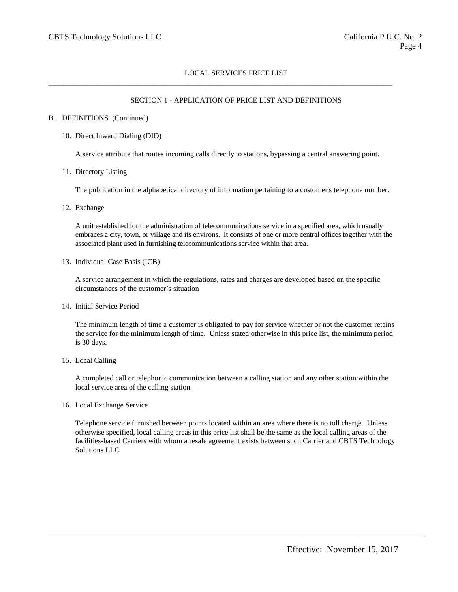$\_$  ,  $\_$  ,  $\_$  ,  $\_$  ,  $\_$  ,  $\_$  ,  $\_$  ,  $\_$  ,  $\_$  ,  $\_$  ,  $\_$  ,  $\_$  ,  $\_$  ,  $\_$  ,  $\_$  ,  $\_$  ,  $\_$  ,  $\_$  ,  $\_$  ,  $\_$  ,  $\_$  ,  $\_$  ,  $\_$  ,  $\_$  ,  $\_$  ,  $\_$  ,  $\_$  ,  $\_$  ,  $\_$  ,  $\_$  ,  $\_$  ,  $\_$  ,  $\_$  ,  $\_$  ,  $\_$  ,  $\_$  ,  $\_$  ,

### SECTION 1 - APPLICATION OF PRICE LIST AND DEFINITIONS

#### B. DEFINITIONS (Continued)

#### 10. Direct Inward Dialing (DID)

A service attribute that routes incoming calls directly to stations, bypassing a central answering point.

11. Directory Listing

The publication in the alphabetical directory of information pertaining to a customer's telephone number.

12. Exchange

A unit established for the administration of telecommunications service in a specified area, which usually embraces a city, town, or village and its environs. It consists of one or more central offices together with the associated plant used in furnishing telecommunications service within that area.

13. Individual Case Basis (ICB)

A service arrangement in which the regulations, rates and charges are developed based on the specific circumstances of the customer's situation

14. Initial Service Period

The minimum length of time a customer is obligated to pay for service whether or not the customer retains the service for the minimum length of time. Unless stated otherwise in this price list, the minimum period is 30 days.

#### 15. Local Calling

A completed call or telephonic communication between a calling station and any other station within the local service area of the calling station.

16. Local Exchange Service

Telephone service furnished between points located within an area where there is no toll charge. Unless otherwise specified, local calling areas in this price list shall be the same as the local calling areas of the facilities-based Carriers with whom a resale agreement exists between such Carrier and CBTS Technology Solutions LLC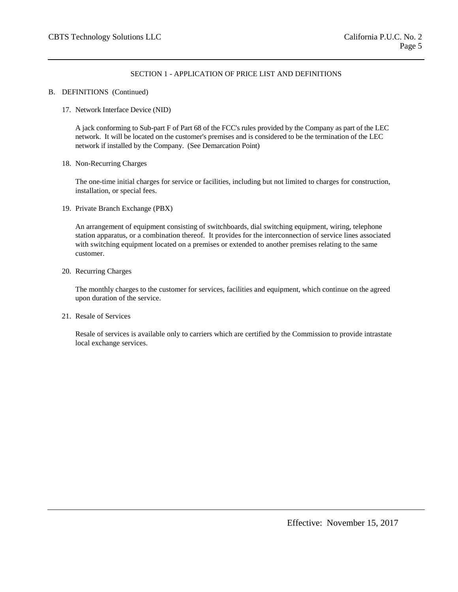# SECTION 1 - APPLICATION OF PRICE LIST AND DEFINITIONS

### B. DEFINITIONS (Continued)

17. Network Interface Device (NID)

A jack conforming to Sub-part F of Part 68 of the FCC's rules provided by the Company as part of the LEC network. It will be located on the customer's premises and is considered to be the termination of the LEC network if installed by the Company. (See Demarcation Point)

18. Non-Recurring Charges

The one-time initial charges for service or facilities, including but not limited to charges for construction, installation, or special fees.

19. Private Branch Exchange (PBX)

An arrangement of equipment consisting of switchboards, dial switching equipment, wiring, telephone station apparatus, or a combination thereof. It provides for the interconnection of service lines associated with switching equipment located on a premises or extended to another premises relating to the same customer.

20. Recurring Charges

The monthly charges to the customer for services, facilities and equipment, which continue on the agreed upon duration of the service.

21. Resale of Services

Resale of services is available only to carriers which are certified by the Commission to provide intrastate local exchange services.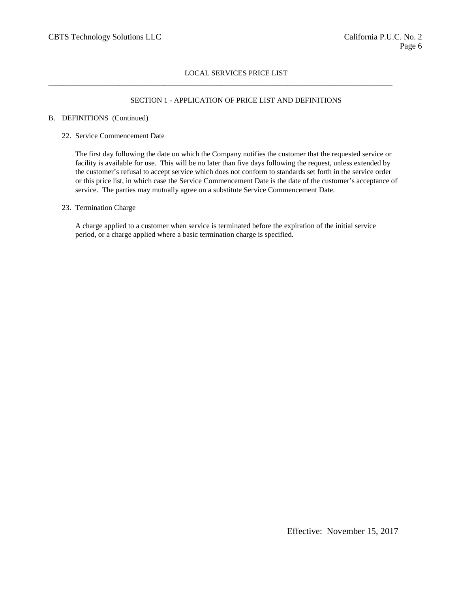$\_$  ,  $\_$  ,  $\_$  ,  $\_$  ,  $\_$  ,  $\_$  ,  $\_$  ,  $\_$  ,  $\_$  ,  $\_$  ,  $\_$  ,  $\_$  ,  $\_$  ,  $\_$  ,  $\_$  ,  $\_$  ,  $\_$  ,  $\_$  ,  $\_$  ,  $\_$  ,  $\_$  ,  $\_$  ,  $\_$  ,  $\_$  ,  $\_$  ,  $\_$  ,  $\_$  ,  $\_$  ,  $\_$  ,  $\_$  ,  $\_$  ,  $\_$  ,  $\_$  ,  $\_$  ,  $\_$  ,  $\_$  ,  $\_$  ,

## SECTION 1 - APPLICATION OF PRICE LIST AND DEFINITIONS

#### B. DEFINITIONS (Continued)

### 22. Service Commencement Date

The first day following the date on which the Company notifies the customer that the requested service or facility is available for use. This will be no later than five days following the request, unless extended by the customer's refusal to accept service which does not conform to standards set forth in the service order or this price list, in which case the Service Commencement Date is the date of the customer's acceptance of service. The parties may mutually agree on a substitute Service Commencement Date.

### 23. Termination Charge

A charge applied to a customer when service is terminated before the expiration of the initial service period, or a charge applied where a basic termination charge is specified.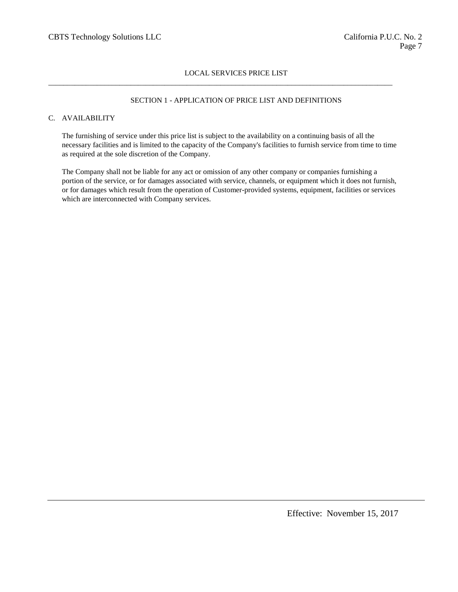$\_$  ,  $\_$  ,  $\_$  ,  $\_$  ,  $\_$  ,  $\_$  ,  $\_$  ,  $\_$  ,  $\_$  ,  $\_$  ,  $\_$  ,  $\_$  ,  $\_$  ,  $\_$  ,  $\_$  ,  $\_$  ,  $\_$  ,  $\_$  ,  $\_$  ,  $\_$  ,  $\_$  ,  $\_$  ,  $\_$  ,  $\_$  ,  $\_$  ,  $\_$  ,  $\_$  ,  $\_$  ,  $\_$  ,  $\_$  ,  $\_$  ,  $\_$  ,  $\_$  ,  $\_$  ,  $\_$  ,  $\_$  ,  $\_$  ,

## SECTION 1 - APPLICATION OF PRICE LIST AND DEFINITIONS

# C. AVAILABILITY

The furnishing of service under this price list is subject to the availability on a continuing basis of all the necessary facilities and is limited to the capacity of the Company's facilities to furnish service from time to time as required at the sole discretion of the Company.

The Company shall not be liable for any act or omission of any other company or companies furnishing a portion of the service, or for damages associated with service, channels, or equipment which it does not furnish, or for damages which result from the operation of Customer-provided systems, equipment, facilities or services which are interconnected with Company services.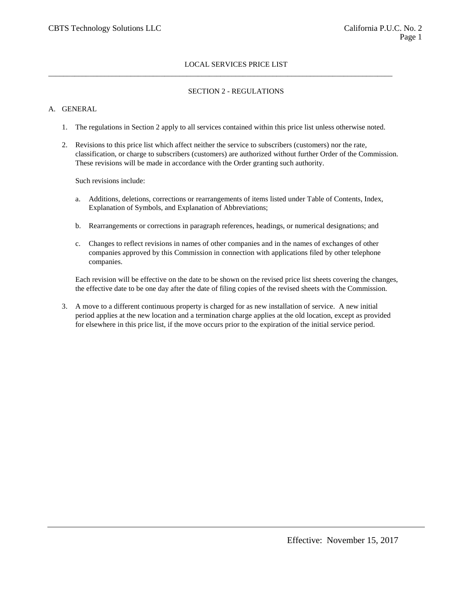# SECTION 2 - REGULATIONS

## A. GENERAL

1. The regulations in Section 2 apply to all services contained within this price list unless otherwise noted.

 $\_$  ,  $\_$  ,  $\_$  ,  $\_$  ,  $\_$  ,  $\_$  ,  $\_$  ,  $\_$  ,  $\_$  ,  $\_$  ,  $\_$  ,  $\_$  ,  $\_$  ,  $\_$  ,  $\_$  ,  $\_$  ,  $\_$  ,  $\_$  ,  $\_$  ,  $\_$  ,  $\_$  ,  $\_$  ,  $\_$  ,  $\_$  ,  $\_$  ,  $\_$  ,  $\_$  ,  $\_$  ,  $\_$  ,  $\_$  ,  $\_$  ,  $\_$  ,  $\_$  ,  $\_$  ,  $\_$  ,  $\_$  ,  $\_$  ,

2. Revisions to this price list which affect neither the service to subscribers (customers) nor the rate, classification, or charge to subscribers (customers) are authorized without further Order of the Commission. These revisions will be made in accordance with the Order granting such authority.

Such revisions include:

- a. Additions, deletions, corrections or rearrangements of items listed under Table of Contents, Index, Explanation of Symbols, and Explanation of Abbreviations;
- b. Rearrangements or corrections in paragraph references, headings, or numerical designations; and
- c. Changes to reflect revisions in names of other companies and in the names of exchanges of other companies approved by this Commission in connection with applications filed by other telephone companies.

Each revision will be effective on the date to be shown on the revised price list sheets covering the changes, the effective date to be one day after the date of filing copies of the revised sheets with the Commission.

3. A move to a different continuous property is charged for as new installation of service. A new initial period applies at the new location and a termination charge applies at the old location, except as provided for elsewhere in this price list, if the move occurs prior to the expiration of the initial service period.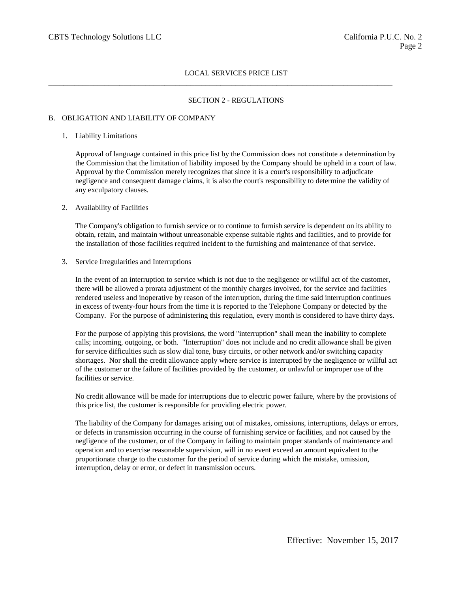$\_$  ,  $\_$  ,  $\_$  ,  $\_$  ,  $\_$  ,  $\_$  ,  $\_$  ,  $\_$  ,  $\_$  ,  $\_$  ,  $\_$  ,  $\_$  ,  $\_$  ,  $\_$  ,  $\_$  ,  $\_$  ,  $\_$  ,  $\_$  ,  $\_$  ,  $\_$  ,  $\_$  ,  $\_$  ,  $\_$  ,  $\_$  ,  $\_$  ,  $\_$  ,  $\_$  ,  $\_$  ,  $\_$  ,  $\_$  ,  $\_$  ,  $\_$  ,  $\_$  ,  $\_$  ,  $\_$  ,  $\_$  ,  $\_$  ,

### SECTION 2 - REGULATIONS

#### B. OBLIGATION AND LIABILITY OF COMPANY

#### 1. Liability Limitations

Approval of language contained in this price list by the Commission does not constitute a determination by the Commission that the limitation of liability imposed by the Company should be upheld in a court of law. Approval by the Commission merely recognizes that since it is a court's responsibility to adjudicate negligence and consequent damage claims, it is also the court's responsibility to determine the validity of any exculpatory clauses.

### 2. Availability of Facilities

The Company's obligation to furnish service or to continue to furnish service is dependent on its ability to obtain, retain, and maintain without unreasonable expense suitable rights and facilities, and to provide for the installation of those facilities required incident to the furnishing and maintenance of that service.

#### 3. Service Irregularities and Interruptions

In the event of an interruption to service which is not due to the negligence or willful act of the customer, there will be allowed a prorata adjustment of the monthly charges involved, for the service and facilities rendered useless and inoperative by reason of the interruption, during the time said interruption continues in excess of twenty-four hours from the time it is reported to the Telephone Company or detected by the Company. For the purpose of administering this regulation, every month is considered to have thirty days.

For the purpose of applying this provisions, the word "interruption" shall mean the inability to complete calls; incoming, outgoing, or both. "Interruption" does not include and no credit allowance shall be given for service difficulties such as slow dial tone, busy circuits, or other network and/or switching capacity shortages. Nor shall the credit allowance apply where service is interrupted by the negligence or willful act of the customer or the failure of facilities provided by the customer, or unlawful or improper use of the facilities or service.

No credit allowance will be made for interruptions due to electric power failure, where by the provisions of this price list, the customer is responsible for providing electric power.

The liability of the Company for damages arising out of mistakes, omissions, interruptions, delays or errors, or defects in transmission occurring in the course of furnishing service or facilities, and not caused by the negligence of the customer, or of the Company in failing to maintain proper standards of maintenance and operation and to exercise reasonable supervision, will in no event exceed an amount equivalent to the proportionate charge to the customer for the period of service during which the mistake, omission, interruption, delay or error, or defect in transmission occurs.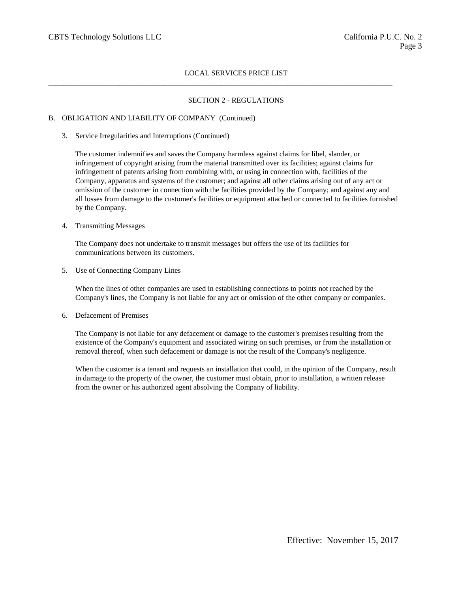$\_$  ,  $\_$  ,  $\_$  ,  $\_$  ,  $\_$  ,  $\_$  ,  $\_$  ,  $\_$  ,  $\_$  ,  $\_$  ,  $\_$  ,  $\_$  ,  $\_$  ,  $\_$  ,  $\_$  ,  $\_$  ,  $\_$  ,  $\_$  ,  $\_$  ,  $\_$  ,  $\_$  ,  $\_$  ,  $\_$  ,  $\_$  ,  $\_$  ,  $\_$  ,  $\_$  ,  $\_$  ,  $\_$  ,  $\_$  ,  $\_$  ,  $\_$  ,  $\_$  ,  $\_$  ,  $\_$  ,  $\_$  ,  $\_$  ,

### SECTION 2 - REGULATIONS

#### B. OBLIGATION AND LIABILITY OF COMPANY (Continued)

3. Service Irregularities and Interruptions (Continued)

The customer indemnifies and saves the Company harmless against claims for libel, slander, or infringement of copyright arising from the material transmitted over its facilities; against claims for infringement of patents arising from combining with, or using in connection with, facilities of the Company, apparatus and systems of the customer; and against all other claims arising out of any act or omission of the customer in connection with the facilities provided by the Company; and against any and all losses from damage to the customer's facilities or equipment attached or connected to facilities furnished by the Company.

#### 4. Transmitting Messages

The Company does not undertake to transmit messages but offers the use of its facilities for communications between its customers.

5. Use of Connecting Company Lines

When the lines of other companies are used in establishing connections to points not reached by the Company's lines, the Company is not liable for any act or omission of the other company or companies.

6. Defacement of Premises

The Company is not liable for any defacement or damage to the customer's premises resulting from the existence of the Company's equipment and associated wiring on such premises, or from the installation or removal thereof, when such defacement or damage is not the result of the Company's negligence.

When the customer is a tenant and requests an installation that could, in the opinion of the Company, result in damage to the property of the owner, the customer must obtain, prior to installation, a written release from the owner or his authorized agent absolving the Company of liability.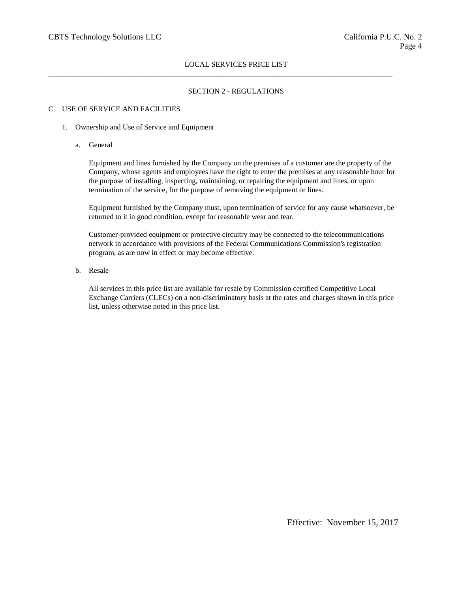$\_$  ,  $\_$  ,  $\_$  ,  $\_$  ,  $\_$  ,  $\_$  ,  $\_$  ,  $\_$  ,  $\_$  ,  $\_$  ,  $\_$  ,  $\_$  ,  $\_$  ,  $\_$  ,  $\_$  ,  $\_$  ,  $\_$  ,  $\_$  ,  $\_$  ,  $\_$  ,  $\_$  ,  $\_$  ,  $\_$  ,  $\_$  ,  $\_$  ,  $\_$  ,  $\_$  ,  $\_$  ,  $\_$  ,  $\_$  ,  $\_$  ,  $\_$  ,  $\_$  ,  $\_$  ,  $\_$  ,  $\_$  ,  $\_$  ,

## SECTION 2 - REGULATIONS

# C. USE OF SERVICE AND FACILITIES

- 1. Ownership and Use of Service and Equipment
	- a. General

Equipment and lines furnished by the Company on the premises of a customer are the property of the Company, whose agents and employees have the right to enter the premises at any reasonable hour for the purpose of installing, inspecting, maintaining, or repairing the equipment and lines, or upon termination of the service, for the purpose of removing the equipment or lines.

Equipment furnished by the Company must, upon termination of service for any cause whatsoever, be returned to it in good condition, except for reasonable wear and tear.

Customer-provided equipment or protective circuitry may be connected to the telecommunications network in accordance with provisions of the Federal Communications Commission's registration program, as are now in effect or may become effective.

b. Resale

All services in this price list are available for resale by Commission certified Competitive Local Exchange Carriers (CLECs) on a non-discriminatory basis at the rates and charges shown in this price list, unless otherwise noted in this price list.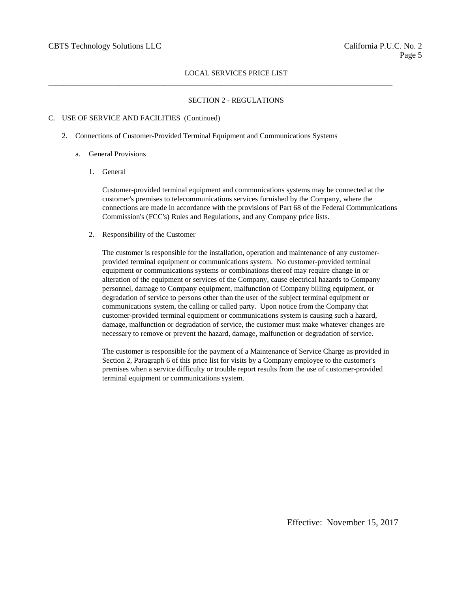$\_$  ,  $\_$  ,  $\_$  ,  $\_$  ,  $\_$  ,  $\_$  ,  $\_$  ,  $\_$  ,  $\_$  ,  $\_$  ,  $\_$  ,  $\_$  ,  $\_$  ,  $\_$  ,  $\_$  ,  $\_$  ,  $\_$  ,  $\_$  ,  $\_$  ,  $\_$  ,  $\_$  ,  $\_$  ,  $\_$  ,  $\_$  ,  $\_$  ,  $\_$  ,  $\_$  ,  $\_$  ,  $\_$  ,  $\_$  ,  $\_$  ,  $\_$  ,  $\_$  ,  $\_$  ,  $\_$  ,  $\_$  ,  $\_$  ,

### SECTION 2 - REGULATIONS

#### C. USE OF SERVICE AND FACILITIES (Continued)

- 2. Connections of Customer-Provided Terminal Equipment and Communications Systems
	- a. General Provisions
		- 1. General

Customer-provided terminal equipment and communications systems may be connected at the customer's premises to telecommunications services furnished by the Company, where the connections are made in accordance with the provisions of Part 68 of the Federal Communications Commission's (FCC's) Rules and Regulations, and any Company price lists.

2. Responsibility of the Customer

The customer is responsible for the installation, operation and maintenance of any customerprovided terminal equipment or communications system. No customer-provided terminal equipment or communications systems or combinations thereof may require change in or alteration of the equipment or services of the Company, cause electrical hazards to Company personnel, damage to Company equipment, malfunction of Company billing equipment, or degradation of service to persons other than the user of the subject terminal equipment or communications system, the calling or called party. Upon notice from the Company that customer-provided terminal equipment or communications system is causing such a hazard, damage, malfunction or degradation of service, the customer must make whatever changes are necessary to remove or prevent the hazard, damage, malfunction or degradation of service.

The customer is responsible for the payment of a Maintenance of Service Charge as provided in Section 2, Paragraph 6 of this price list for visits by a Company employee to the customer's premises when a service difficulty or trouble report results from the use of customer-provided terminal equipment or communications system.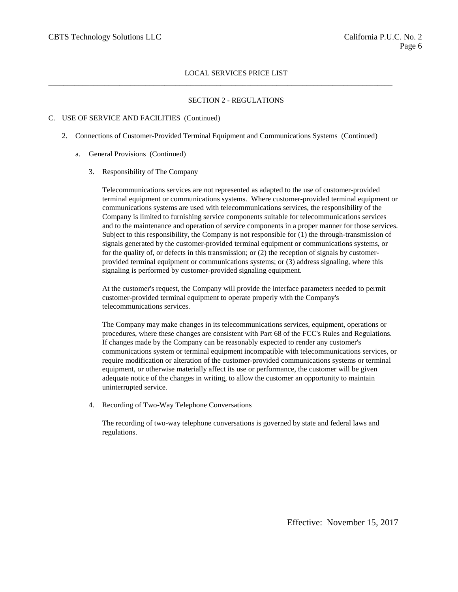## SECTION 2 - REGULATIONS

### C. USE OF SERVICE AND FACILITIES (Continued)

2. Connections of Customer-Provided Terminal Equipment and Communications Systems (Continued)

 $\_$  ,  $\_$  ,  $\_$  ,  $\_$  ,  $\_$  ,  $\_$  ,  $\_$  ,  $\_$  ,  $\_$  ,  $\_$  ,  $\_$  ,  $\_$  ,  $\_$  ,  $\_$  ,  $\_$  ,  $\_$  ,  $\_$  ,  $\_$  ,  $\_$  ,  $\_$  ,  $\_$  ,  $\_$  ,  $\_$  ,  $\_$  ,  $\_$  ,  $\_$  ,  $\_$  ,  $\_$  ,  $\_$  ,  $\_$  ,  $\_$  ,  $\_$  ,  $\_$  ,  $\_$  ,  $\_$  ,  $\_$  ,  $\_$  ,

- a. General Provisions (Continued)
	- 3. Responsibility of The Company

Telecommunications services are not represented as adapted to the use of customer-provided terminal equipment or communications systems. Where customer-provided terminal equipment or communications systems are used with telecommunications services, the responsibility of the Company is limited to furnishing service components suitable for telecommunications services and to the maintenance and operation of service components in a proper manner for those services. Subject to this responsibility, the Company is not responsible for (1) the through-transmission of signals generated by the customer-provided terminal equipment or communications systems, or for the quality of, or defects in this transmission; or (2) the reception of signals by customerprovided terminal equipment or communications systems; or (3) address signaling, where this signaling is performed by customer-provided signaling equipment.

At the customer's request, the Company will provide the interface parameters needed to permit customer-provided terminal equipment to operate properly with the Company's telecommunications services.

The Company may make changes in its telecommunications services, equipment, operations or procedures, where these changes are consistent with Part 68 of the FCC's Rules and Regulations. If changes made by the Company can be reasonably expected to render any customer's communications system or terminal equipment incompatible with telecommunications services, or require modification or alteration of the customer-provided communications systems or terminal equipment, or otherwise materially affect its use or performance, the customer will be given adequate notice of the changes in writing, to allow the customer an opportunity to maintain uninterrupted service.

4. Recording of Two-Way Telephone Conversations

The recording of two-way telephone conversations is governed by state and federal laws and regulations.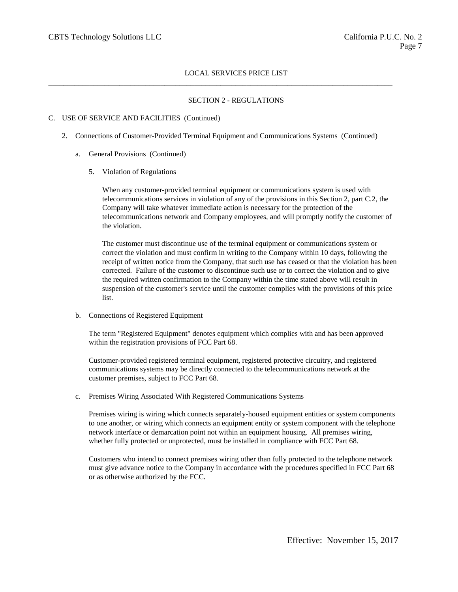## SECTION 2 - REGULATIONS

## C. USE OF SERVICE AND FACILITIES (Continued)

2. Connections of Customer-Provided Terminal Equipment and Communications Systems (Continued)

 $\_$  ,  $\_$  ,  $\_$  ,  $\_$  ,  $\_$  ,  $\_$  ,  $\_$  ,  $\_$  ,  $\_$  ,  $\_$  ,  $\_$  ,  $\_$  ,  $\_$  ,  $\_$  ,  $\_$  ,  $\_$  ,  $\_$  ,  $\_$  ,  $\_$  ,  $\_$  ,  $\_$  ,  $\_$  ,  $\_$  ,  $\_$  ,  $\_$  ,  $\_$  ,  $\_$  ,  $\_$  ,  $\_$  ,  $\_$  ,  $\_$  ,  $\_$  ,  $\_$  ,  $\_$  ,  $\_$  ,  $\_$  ,  $\_$  ,

- a. General Provisions (Continued)
	- 5. Violation of Regulations

When any customer-provided terminal equipment or communications system is used with telecommunications services in violation of any of the provisions in this Section 2, part C.2, the Company will take whatever immediate action is necessary for the protection of the telecommunications network and Company employees, and will promptly notify the customer of the violation.

The customer must discontinue use of the terminal equipment or communications system or correct the violation and must confirm in writing to the Company within 10 days, following the receipt of written notice from the Company, that such use has ceased or that the violation has been corrected. Failure of the customer to discontinue such use or to correct the violation and to give the required written confirmation to the Company within the time stated above will result in suspension of the customer's service until the customer complies with the provisions of this price list.

b. Connections of Registered Equipment

The term "Registered Equipment" denotes equipment which complies with and has been approved within the registration provisions of FCC Part 68.

Customer-provided registered terminal equipment, registered protective circuitry, and registered communications systems may be directly connected to the telecommunications network at the customer premises, subject to FCC Part 68.

c. Premises Wiring Associated With Registered Communications Systems

Premises wiring is wiring which connects separately-housed equipment entities or system components to one another, or wiring which connects an equipment entity or system component with the telephone network interface or demarcation point not within an equipment housing. All premises wiring, whether fully protected or unprotected, must be installed in compliance with FCC Part 68.

Customers who intend to connect premises wiring other than fully protected to the telephone network must give advance notice to the Company in accordance with the procedures specified in FCC Part 68 or as otherwise authorized by the FCC.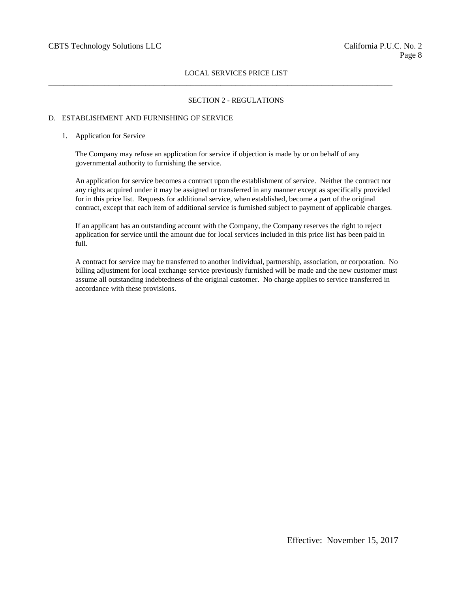### SECTION 2 - REGULATIONS

### D. ESTABLISHMENT AND FURNISHING OF SERVICE

#### 1. Application for Service

The Company may refuse an application for service if objection is made by or on behalf of any governmental authority to furnishing the service.

 $\_$  ,  $\_$  ,  $\_$  ,  $\_$  ,  $\_$  ,  $\_$  ,  $\_$  ,  $\_$  ,  $\_$  ,  $\_$  ,  $\_$  ,  $\_$  ,  $\_$  ,  $\_$  ,  $\_$  ,  $\_$  ,  $\_$  ,  $\_$  ,  $\_$  ,  $\_$  ,  $\_$  ,  $\_$  ,  $\_$  ,  $\_$  ,  $\_$  ,  $\_$  ,  $\_$  ,  $\_$  ,  $\_$  ,  $\_$  ,  $\_$  ,  $\_$  ,  $\_$  ,  $\_$  ,  $\_$  ,  $\_$  ,  $\_$  ,

An application for service becomes a contract upon the establishment of service. Neither the contract nor any rights acquired under it may be assigned or transferred in any manner except as specifically provided for in this price list. Requests for additional service, when established, become a part of the original contract, except that each item of additional service is furnished subject to payment of applicable charges.

If an applicant has an outstanding account with the Company, the Company reserves the right to reject application for service until the amount due for local services included in this price list has been paid in full.

A contract for service may be transferred to another individual, partnership, association, or corporation. No billing adjustment for local exchange service previously furnished will be made and the new customer must assume all outstanding indebtedness of the original customer. No charge applies to service transferred in accordance with these provisions.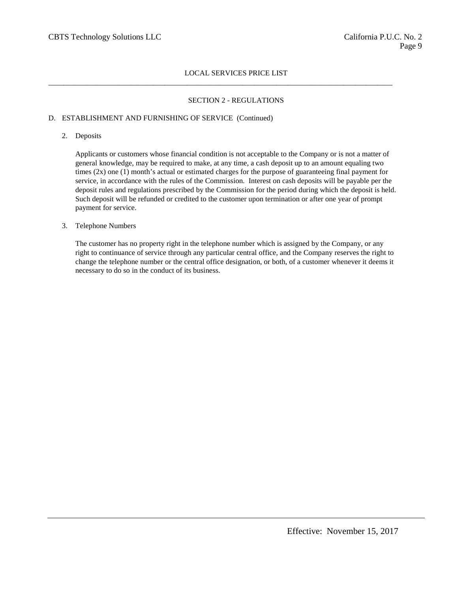$\_$  ,  $\_$  ,  $\_$  ,  $\_$  ,  $\_$  ,  $\_$  ,  $\_$  ,  $\_$  ,  $\_$  ,  $\_$  ,  $\_$  ,  $\_$  ,  $\_$  ,  $\_$  ,  $\_$  ,  $\_$  ,  $\_$  ,  $\_$  ,  $\_$  ,  $\_$  ,  $\_$  ,  $\_$  ,  $\_$  ,  $\_$  ,  $\_$  ,  $\_$  ,  $\_$  ,  $\_$  ,  $\_$  ,  $\_$  ,  $\_$  ,  $\_$  ,  $\_$  ,  $\_$  ,  $\_$  ,  $\_$  ,  $\_$  ,

## SECTION 2 - REGULATIONS

## D. ESTABLISHMENT AND FURNISHING OF SERVICE (Continued)

### 2. Deposits

Applicants or customers whose financial condition is not acceptable to the Company or is not a matter of general knowledge, may be required to make, at any time, a cash deposit up to an amount equaling two times (2x) one (1) month's actual or estimated charges for the purpose of guaranteeing final payment for service, in accordance with the rules of the Commission. Interest on cash deposits will be payable per the deposit rules and regulations prescribed by the Commission for the period during which the deposit is held. Such deposit will be refunded or credited to the customer upon termination or after one year of prompt payment for service.

### 3. Telephone Numbers

The customer has no property right in the telephone number which is assigned by the Company, or any right to continuance of service through any particular central office, and the Company reserves the right to change the telephone number or the central office designation, or both, of a customer whenever it deems it necessary to do so in the conduct of its business.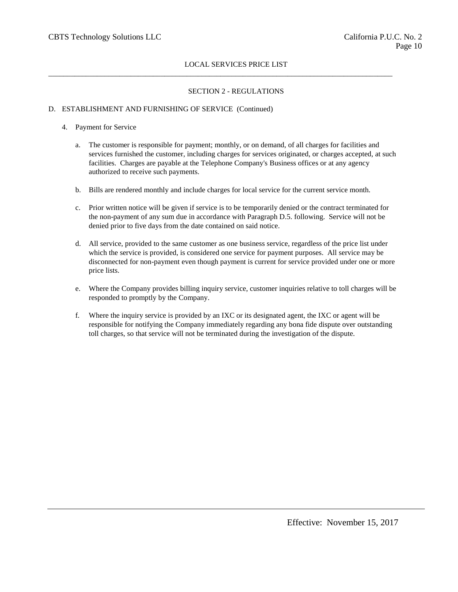$\_$  ,  $\_$  ,  $\_$  ,  $\_$  ,  $\_$  ,  $\_$  ,  $\_$  ,  $\_$  ,  $\_$  ,  $\_$  ,  $\_$  ,  $\_$  ,  $\_$  ,  $\_$  ,  $\_$  ,  $\_$  ,  $\_$  ,  $\_$  ,  $\_$  ,  $\_$  ,  $\_$  ,  $\_$  ,  $\_$  ,  $\_$  ,  $\_$  ,  $\_$  ,  $\_$  ,  $\_$  ,  $\_$  ,  $\_$  ,  $\_$  ,  $\_$  ,  $\_$  ,  $\_$  ,  $\_$  ,  $\_$  ,  $\_$  ,

# SECTION 2 - REGULATIONS

# D. ESTABLISHMENT AND FURNISHING OF SERVICE (Continued)

## 4. Payment for Service

- a. The customer is responsible for payment; monthly, or on demand, of all charges for facilities and services furnished the customer, including charges for services originated, or charges accepted, at such facilities. Charges are payable at the Telephone Company's Business offices or at any agency authorized to receive such payments.
- b. Bills are rendered monthly and include charges for local service for the current service month.
- c. Prior written notice will be given if service is to be temporarily denied or the contract terminated for the non-payment of any sum due in accordance with Paragraph D.5. following. Service will not be denied prior to five days from the date contained on said notice.
- d. All service, provided to the same customer as one business service, regardless of the price list under which the service is provided, is considered one service for payment purposes. All service may be disconnected for non-payment even though payment is current for service provided under one or more price lists.
- e. Where the Company provides billing inquiry service, customer inquiries relative to toll charges will be responded to promptly by the Company.
- f. Where the inquiry service is provided by an IXC or its designated agent, the IXC or agent will be responsible for notifying the Company immediately regarding any bona fide dispute over outstanding toll charges, so that service will not be terminated during the investigation of the dispute.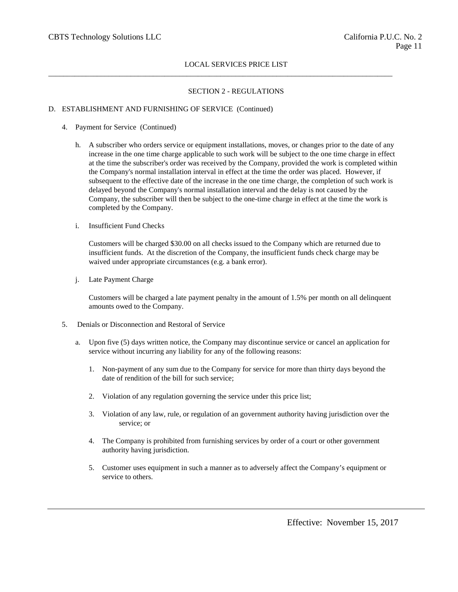$\_$  ,  $\_$  ,  $\_$  ,  $\_$  ,  $\_$  ,  $\_$  ,  $\_$  ,  $\_$  ,  $\_$  ,  $\_$  ,  $\_$  ,  $\_$  ,  $\_$  ,  $\_$  ,  $\_$  ,  $\_$  ,  $\_$  ,  $\_$  ,  $\_$  ,  $\_$  ,  $\_$  ,  $\_$  ,  $\_$  ,  $\_$  ,  $\_$  ,  $\_$  ,  $\_$  ,  $\_$  ,  $\_$  ,  $\_$  ,  $\_$  ,  $\_$  ,  $\_$  ,  $\_$  ,  $\_$  ,  $\_$  ,  $\_$  ,

# SECTION 2 - REGULATIONS

# D. ESTABLISHMENT AND FURNISHING OF SERVICE (Continued)

- 4. Payment for Service (Continued)
	- h. A subscriber who orders service or equipment installations, moves, or changes prior to the date of any increase in the one time charge applicable to such work will be subject to the one time charge in effect at the time the subscriber's order was received by the Company, provided the work is completed within the Company's normal installation interval in effect at the time the order was placed. However, if subsequent to the effective date of the increase in the one time charge, the completion of such work is delayed beyond the Company's normal installation interval and the delay is not caused by the Company, the subscriber will then be subject to the one-time charge in effect at the time the work is completed by the Company.
	- i. Insufficient Fund Checks

Customers will be charged \$30.00 on all checks issued to the Company which are returned due to insufficient funds. At the discretion of the Company, the insufficient funds check charge may be waived under appropriate circumstances (e.g. a bank error).

j. Late Payment Charge

Customers will be charged a late payment penalty in the amount of 1.5% per month on all delinquent amounts owed to the Company.

- 5. Denials or Disconnection and Restoral of Service
	- a. Upon five (5) days written notice, the Company may discontinue service or cancel an application for service without incurring any liability for any of the following reasons:
		- 1. Non-payment of any sum due to the Company for service for more than thirty days beyond the date of rendition of the bill for such service;
		- 2. Violation of any regulation governing the service under this price list;
		- 3. Violation of any law, rule, or regulation of an government authority having jurisdiction over the service; or
		- 4. The Company is prohibited from furnishing services by order of a court or other government authority having jurisdiction.
		- 5. Customer uses equipment in such a manner as to adversely affect the Company's equipment or service to others.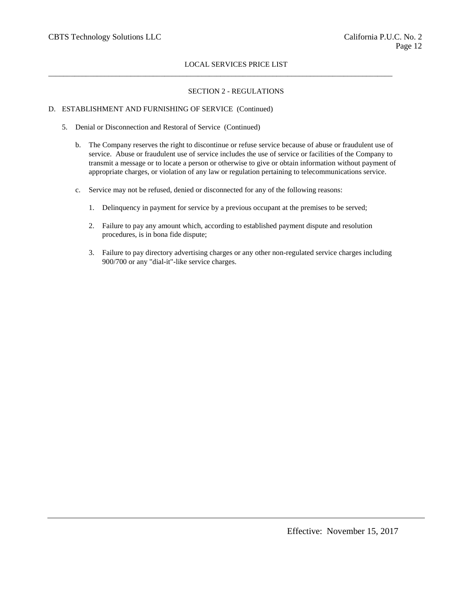$\_$  ,  $\_$  ,  $\_$  ,  $\_$  ,  $\_$  ,  $\_$  ,  $\_$  ,  $\_$  ,  $\_$  ,  $\_$  ,  $\_$  ,  $\_$  ,  $\_$  ,  $\_$  ,  $\_$  ,  $\_$  ,  $\_$  ,  $\_$  ,  $\_$  ,  $\_$  ,  $\_$  ,  $\_$  ,  $\_$  ,  $\_$  ,  $\_$  ,  $\_$  ,  $\_$  ,  $\_$  ,  $\_$  ,  $\_$  ,  $\_$  ,  $\_$  ,  $\_$  ,  $\_$  ,  $\_$  ,  $\_$  ,  $\_$  ,

# SECTION 2 - REGULATIONS

## D. ESTABLISHMENT AND FURNISHING OF SERVICE (Continued)

- 5. Denial or Disconnection and Restoral of Service (Continued)
	- b. The Company reserves the right to discontinue or refuse service because of abuse or fraudulent use of service. Abuse or fraudulent use of service includes the use of service or facilities of the Company to transmit a message or to locate a person or otherwise to give or obtain information without payment of appropriate charges, or violation of any law or regulation pertaining to telecommunications service.
	- c. Service may not be refused, denied or disconnected for any of the following reasons:
		- 1. Delinquency in payment for service by a previous occupant at the premises to be served;
		- 2. Failure to pay any amount which, according to established payment dispute and resolution procedures, is in bona fide dispute;
		- 3. Failure to pay directory advertising charges or any other non-regulated service charges including 900/700 or any "dial-it"-like service charges.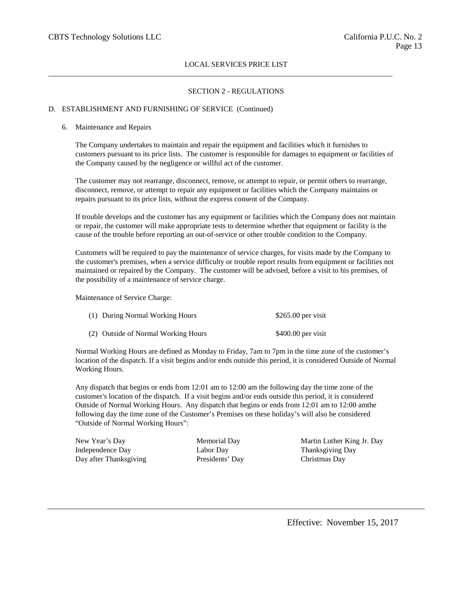$\_$  ,  $\_$  ,  $\_$  ,  $\_$  ,  $\_$  ,  $\_$  ,  $\_$  ,  $\_$  ,  $\_$  ,  $\_$  ,  $\_$  ,  $\_$  ,  $\_$  ,  $\_$  ,  $\_$  ,  $\_$  ,  $\_$  ,  $\_$  ,  $\_$  ,  $\_$  ,  $\_$  ,  $\_$  ,  $\_$  ,  $\_$  ,  $\_$  ,  $\_$  ,  $\_$  ,  $\_$  ,  $\_$  ,  $\_$  ,  $\_$  ,  $\_$  ,  $\_$  ,  $\_$  ,  $\_$  ,  $\_$  ,  $\_$  ,

## SECTION 2 - REGULATIONS

## D. ESTABLISHMENT AND FURNISHING OF SERVICE (Continued)

#### 6. Maintenance and Repairs

The Company undertakes to maintain and repair the equipment and facilities which it furnishes to customers pursuant to its price lists. The customer is responsible for damages to equipment or facilities of the Company caused by the negligence or willful act of the customer.

The customer may not rearrange, disconnect, remove, or attempt to repair, or permit others to rearrange, disconnect, remove, or attempt to repair any equipment or facilities which the Company maintains or repairs pursuant to its price lists, without the express consent of the Company.

If trouble develops and the customer has any equipment or facilities which the Company does not maintain or repair, the customer will make appropriate tests to determine whether that equipment or facility is the cause of the trouble before reporting an out-of-service or other trouble condition to the Company.

Customers will be required to pay the maintenance of service charges, for visits made by the Company to the customer's premises, when a service difficulty or trouble report results from equipment or facilities not maintained or repaired by the Company. The customer will be advised, before a visit to his premises, of the possibility of a maintenance of service charge.

Maintenance of Service Charge:

| (1) During Normal Working Hours     | $$265.00$ per visit |
|-------------------------------------|---------------------|
| (2) Outside of Normal Working Hours | $$400.00$ per visit |

Normal Working Hours are defined as Monday to Friday, 7am to 7pm in the time zone of the customer's location of the dispatch. If a visit begins and/or ends outside this period, it is considered Outside of Normal Working Hours.

Any dispatch that begins or ends from 12:01 am to 12:00 am the following day the time zone of the customer's location of the dispatch. If a visit begins and/or ends outside this period, it is considered Outside of Normal Working Hours. Any dispatch that begins or ends from 12:01 am to 12:00 amthe following day the time zone of the Customer's Premises on these holiday's will also be considered "Outside of Normal Working Hours":

Independence Day Labor Day Labor Day Thanksgiving Day Day after Thanksgiving Presidents' Day Christmas Day

New Year's Day Memorial Day Memorial Day Martin Luther King Jr. Day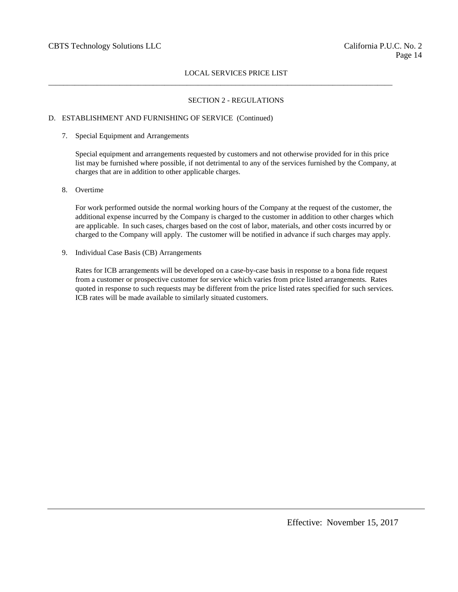$\_$  ,  $\_$  ,  $\_$  ,  $\_$  ,  $\_$  ,  $\_$  ,  $\_$  ,  $\_$  ,  $\_$  ,  $\_$  ,  $\_$  ,  $\_$  ,  $\_$  ,  $\_$  ,  $\_$  ,  $\_$  ,  $\_$  ,  $\_$  ,  $\_$  ,  $\_$  ,  $\_$  ,  $\_$  ,  $\_$  ,  $\_$  ,  $\_$  ,  $\_$  ,  $\_$  ,  $\_$  ,  $\_$  ,  $\_$  ,  $\_$  ,  $\_$  ,  $\_$  ,  $\_$  ,  $\_$  ,  $\_$  ,  $\_$  ,

# SECTION 2 - REGULATIONS

### D. ESTABLISHMENT AND FURNISHING OF SERVICE (Continued)

7. Special Equipment and Arrangements

Special equipment and arrangements requested by customers and not otherwise provided for in this price list may be furnished where possible, if not detrimental to any of the services furnished by the Company, at charges that are in addition to other applicable charges.

8. Overtime

For work performed outside the normal working hours of the Company at the request of the customer, the additional expense incurred by the Company is charged to the customer in addition to other charges which are applicable. In such cases, charges based on the cost of labor, materials, and other costs incurred by or charged to the Company will apply. The customer will be notified in advance if such charges may apply.

9. Individual Case Basis (CB) Arrangements

Rates for ICB arrangements will be developed on a case-by-case basis in response to a bona fide request from a customer or prospective customer for service which varies from price listed arrangements. Rates quoted in response to such requests may be different from the price listed rates specified for such services. ICB rates will be made available to similarly situated customers.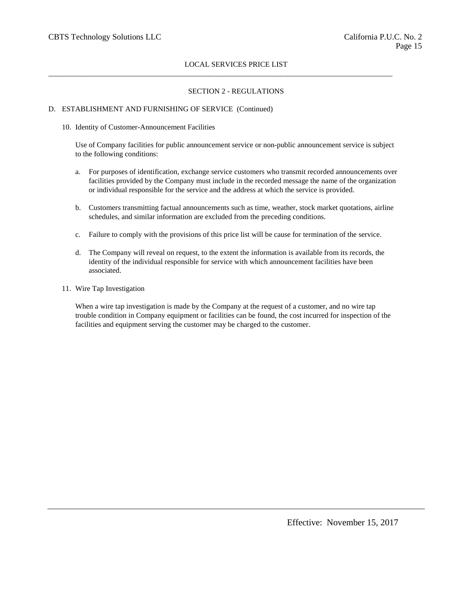$\_$  ,  $\_$  ,  $\_$  ,  $\_$  ,  $\_$  ,  $\_$  ,  $\_$  ,  $\_$  ,  $\_$  ,  $\_$  ,  $\_$  ,  $\_$  ,  $\_$  ,  $\_$  ,  $\_$  ,  $\_$  ,  $\_$  ,  $\_$  ,  $\_$  ,  $\_$  ,  $\_$  ,  $\_$  ,  $\_$  ,  $\_$  ,  $\_$  ,  $\_$  ,  $\_$  ,  $\_$  ,  $\_$  ,  $\_$  ,  $\_$  ,  $\_$  ,  $\_$  ,  $\_$  ,  $\_$  ,  $\_$  ,  $\_$  ,

## SECTION 2 - REGULATIONS

# D. ESTABLISHMENT AND FURNISHING OF SERVICE (Continued)

### 10. Identity of Customer-Announcement Facilities

Use of Company facilities for public announcement service or non-public announcement service is subject to the following conditions:

- a. For purposes of identification, exchange service customers who transmit recorded announcements over facilities provided by the Company must include in the recorded message the name of the organization or individual responsible for the service and the address at which the service is provided.
- b. Customers transmitting factual announcements such as time, weather, stock market quotations, airline schedules, and similar information are excluded from the preceding conditions.
- c. Failure to comply with the provisions of this price list will be cause for termination of the service.
- d. The Company will reveal on request, to the extent the information is available from its records, the identity of the individual responsible for service with which announcement facilities have been associated.
- 11. Wire Tap Investigation

When a wire tap investigation is made by the Company at the request of a customer, and no wire tap trouble condition in Company equipment or facilities can be found, the cost incurred for inspection of the facilities and equipment serving the customer may be charged to the customer.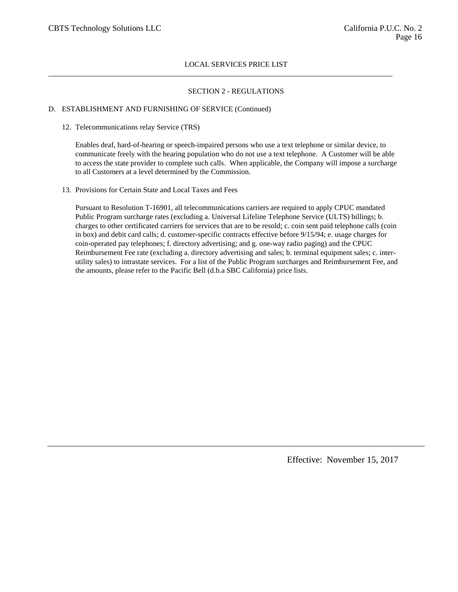$\_$  ,  $\_$  ,  $\_$  ,  $\_$  ,  $\_$  ,  $\_$  ,  $\_$  ,  $\_$  ,  $\_$  ,  $\_$  ,  $\_$  ,  $\_$  ,  $\_$  ,  $\_$  ,  $\_$  ,  $\_$  ,  $\_$  ,  $\_$  ,  $\_$  ,  $\_$  ,  $\_$  ,  $\_$  ,  $\_$  ,  $\_$  ,  $\_$  ,  $\_$  ,  $\_$  ,  $\_$  ,  $\_$  ,  $\_$  ,  $\_$  ,  $\_$  ,  $\_$  ,  $\_$  ,  $\_$  ,  $\_$  ,  $\_$  ,

### SECTION 2 - REGULATIONS

#### D. ESTABLISHMENT AND FURNISHING OF SERVICE (Continued)

#### 12. Telecommunications relay Service (TRS)

Enables deaf, hard-of-hearing or speech-impaired persons who use a text telephone or similar device, to communicate freely with the hearing population who do not use a text telephone. A Customer will be able to access the state provider to complete such calls. When applicable, the Company will impose a surcharge to all Customers at a level determined by the Commission.

13. Provisions for Certain State and Local Taxes and Fees

Pursuant to Resolution T-16901, all telecommunications carriers are required to apply CPUC mandated Public Program surcharge rates (excluding a. Universal Lifeline Telephone Service (ULTS) billings; b. charges to other certificated carriers for services that are to be resold; c. coin sent paid telephone calls (coin in box) and debit card calls; d. customer-specific contracts effective before 9/15/94; e. usage charges for coin-operated pay telephones; f. directory advertising; and g. one-way radio paging) and the CPUC Reimbursement Fee rate (excluding a. directory advertising and sales; b. terminal equipment sales; c. interutility sales) to intrastate services. For a list of the Public Program surcharges and Reimbursement Fee, and the amounts, please refer to the Pacific Bell (d.b.a SBC California) price lists.

Effective: November 15, 2017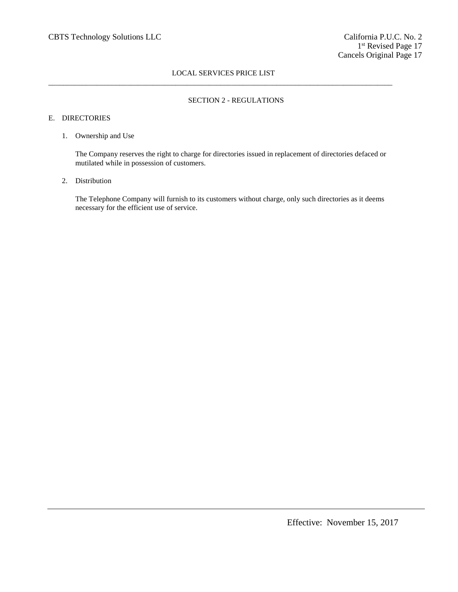# LOCAL SERVICES PRICE LIST  $\_$  ,  $\_$  ,  $\_$  ,  $\_$  ,  $\_$  ,  $\_$  ,  $\_$  ,  $\_$  ,  $\_$  ,  $\_$  ,  $\_$  ,  $\_$  ,  $\_$  ,  $\_$  ,  $\_$  ,  $\_$  ,  $\_$  ,  $\_$  ,  $\_$  ,  $\_$  ,  $\_$  ,  $\_$  ,  $\_$  ,  $\_$  ,  $\_$  ,  $\_$  ,  $\_$  ,  $\_$  ,  $\_$  ,  $\_$  ,  $\_$  ,  $\_$  ,  $\_$  ,  $\_$  ,  $\_$  ,  $\_$  ,  $\_$  ,

### SECTION 2 - REGULATIONS

### E. DIRECTORIES

#### 1. Ownership and Use

The Company reserves the right to charge for directories issued in replacement of directories defaced or mutilated while in possession of customers.

# 2. Distribution

The Telephone Company will furnish to its customers without charge, only such directories as it deems necessary for the efficient use of service.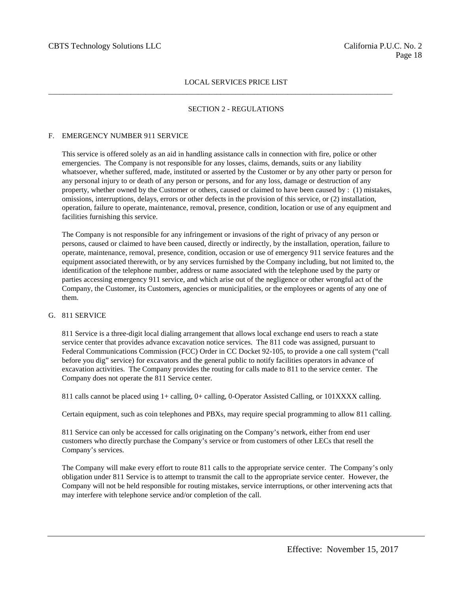$\_$  ,  $\_$  ,  $\_$  ,  $\_$  ,  $\_$  ,  $\_$  ,  $\_$  ,  $\_$  ,  $\_$  ,  $\_$  ,  $\_$  ,  $\_$  ,  $\_$  ,  $\_$  ,  $\_$  ,  $\_$  ,  $\_$  ,  $\_$  ,  $\_$  ,  $\_$  ,  $\_$  ,  $\_$  ,  $\_$  ,  $\_$  ,  $\_$  ,  $\_$  ,  $\_$  ,  $\_$  ,  $\_$  ,  $\_$  ,  $\_$  ,  $\_$  ,  $\_$  ,  $\_$  ,  $\_$  ,  $\_$  ,  $\_$  ,

## SECTION 2 - REGULATIONS

### F. EMERGENCY NUMBER 911 SERVICE

This service is offered solely as an aid in handling assistance calls in connection with fire, police or other emergencies. The Company is not responsible for any losses, claims, demands, suits or any liability whatsoever, whether suffered, made, instituted or asserted by the Customer or by any other party or person for any personal injury to or death of any person or persons, and for any loss, damage or destruction of any property, whether owned by the Customer or others, caused or claimed to have been caused by : (1) mistakes, omissions, interruptions, delays, errors or other defects in the provision of this service, or (2) installation, operation, failure to operate, maintenance, removal, presence, condition, location or use of any equipment and facilities furnishing this service.

The Company is not responsible for any infringement or invasions of the right of privacy of any person or persons, caused or claimed to have been caused, directly or indirectly, by the installation, operation, failure to operate, maintenance, removal, presence, condition, occasion or use of emergency 911 service features and the equipment associated therewith, or by any services furnished by the Company including, but not limited to, the identification of the telephone number, address or name associated with the telephone used by the party or parties accessing emergency 911 service, and which arise out of the negligence or other wrongful act of the Company, the Customer, its Customers, agencies or municipalities, or the employees or agents of any one of them.

# G. 811 SERVICE

811 Service is a three-digit local dialing arrangement that allows local exchange end users to reach a state service center that provides advance excavation notice services. The 811 code was assigned, pursuant to Federal Communications Commission (FCC) Order in CC Docket 92-105, to provide a one call system ("call before you dig" service) for excavators and the general public to notify facilities operators in advance of excavation activities. The Company provides the routing for calls made to 811 to the service center. The Company does not operate the 811 Service center.

811 calls cannot be placed using 1+ calling, 0+ calling, 0-Operator Assisted Calling, or 101XXXX calling.

Certain equipment, such as coin telephones and PBXs, may require special programming to allow 811 calling.

811 Service can only be accessed for calls originating on the Company's network, either from end user customers who directly purchase the Company's service or from customers of other LECs that resell the Company's services.

The Company will make every effort to route 811 calls to the appropriate service center. The Company's only obligation under 811 Service is to attempt to transmit the call to the appropriate service center. However, the Company will not be held responsible for routing mistakes, service interruptions, or other intervening acts that may interfere with telephone service and/or completion of the call.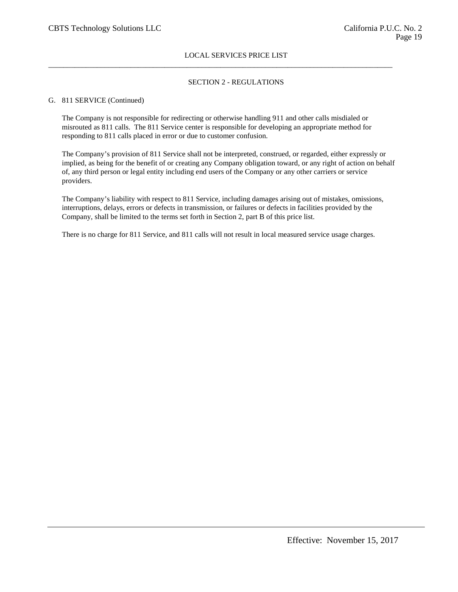## SECTION 2 - REGULATIONS

### G. 811 SERVICE (Continued)

The Company is not responsible for redirecting or otherwise handling 911 and other calls misdialed or misrouted as 811 calls. The 811 Service center is responsible for developing an appropriate method for responding to 811 calls placed in error or due to customer confusion.

 $\_$  ,  $\_$  ,  $\_$  ,  $\_$  ,  $\_$  ,  $\_$  ,  $\_$  ,  $\_$  ,  $\_$  ,  $\_$  ,  $\_$  ,  $\_$  ,  $\_$  ,  $\_$  ,  $\_$  ,  $\_$  ,  $\_$  ,  $\_$  ,  $\_$  ,  $\_$  ,  $\_$  ,  $\_$  ,  $\_$  ,  $\_$  ,  $\_$  ,  $\_$  ,  $\_$  ,  $\_$  ,  $\_$  ,  $\_$  ,  $\_$  ,  $\_$  ,  $\_$  ,  $\_$  ,  $\_$  ,  $\_$  ,  $\_$  ,

The Company's provision of 811 Service shall not be interpreted, construed, or regarded, either expressly or implied, as being for the benefit of or creating any Company obligation toward, or any right of action on behalf of, any third person or legal entity including end users of the Company or any other carriers or service providers.

The Company's liability with respect to 811 Service, including damages arising out of mistakes, omissions, interruptions, delays, errors or defects in transmission, or failures or defects in facilities provided by the Company, shall be limited to the terms set forth in Section 2, part B of this price list.

There is no charge for 811 Service, and 811 calls will not result in local measured service usage charges.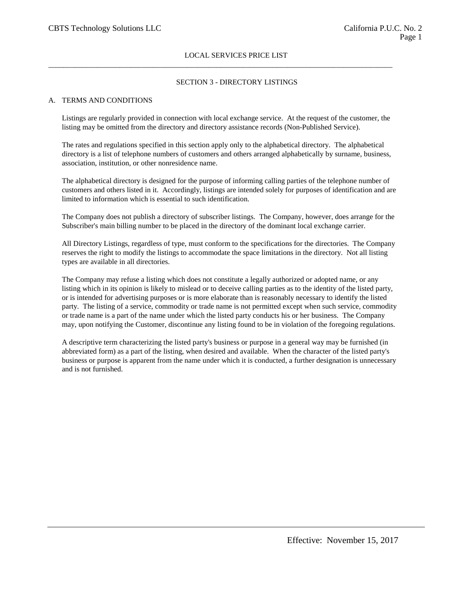$\_$  ,  $\_$  ,  $\_$  ,  $\_$  ,  $\_$  ,  $\_$  ,  $\_$  ,  $\_$  ,  $\_$  ,  $\_$  ,  $\_$  ,  $\_$  ,  $\_$  ,  $\_$  ,  $\_$  ,  $\_$  ,  $\_$  ,  $\_$  ,  $\_$  ,  $\_$  ,  $\_$  ,  $\_$  ,  $\_$  ,  $\_$  ,  $\_$  ,  $\_$  ,  $\_$  ,  $\_$  ,  $\_$  ,  $\_$  ,  $\_$  ,  $\_$  ,  $\_$  ,  $\_$  ,  $\_$  ,  $\_$  ,  $\_$  ,

### SECTION 3 - DIRECTORY LISTINGS

#### A. TERMS AND CONDITIONS

Listings are regularly provided in connection with local exchange service. At the request of the customer, the listing may be omitted from the directory and directory assistance records (Non-Published Service).

The rates and regulations specified in this section apply only to the alphabetical directory. The alphabetical directory is a list of telephone numbers of customers and others arranged alphabetically by surname, business, association, institution, or other nonresidence name.

The alphabetical directory is designed for the purpose of informing calling parties of the telephone number of customers and others listed in it. Accordingly, listings are intended solely for purposes of identification and are limited to information which is essential to such identification.

The Company does not publish a directory of subscriber listings. The Company, however, does arrange for the Subscriber's main billing number to be placed in the directory of the dominant local exchange carrier.

All Directory Listings, regardless of type, must conform to the specifications for the directories. The Company reserves the right to modify the listings to accommodate the space limitations in the directory. Not all listing types are available in all directories.

The Company may refuse a listing which does not constitute a legally authorized or adopted name, or any listing which in its opinion is likely to mislead or to deceive calling parties as to the identity of the listed party, or is intended for advertising purposes or is more elaborate than is reasonably necessary to identify the listed party. The listing of a service, commodity or trade name is not permitted except when such service, commodity or trade name is a part of the name under which the listed party conducts his or her business. The Company may, upon notifying the Customer, discontinue any listing found to be in violation of the foregoing regulations.

A descriptive term characterizing the listed party's business or purpose in a general way may be furnished (in abbreviated form) as a part of the listing, when desired and available. When the character of the listed party's business or purpose is apparent from the name under which it is conducted, a further designation is unnecessary and is not furnished.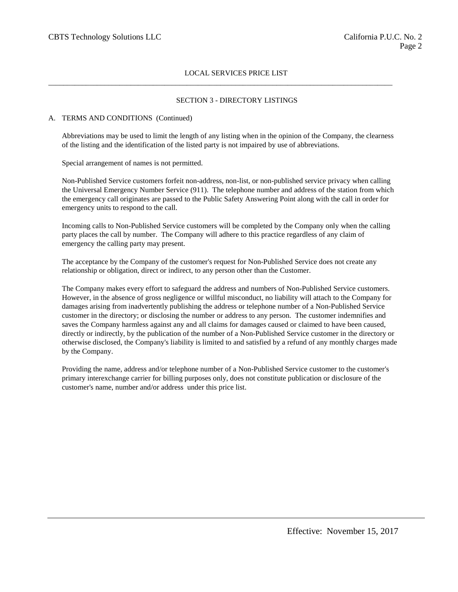$\_$  ,  $\_$  ,  $\_$  ,  $\_$  ,  $\_$  ,  $\_$  ,  $\_$  ,  $\_$  ,  $\_$  ,  $\_$  ,  $\_$  ,  $\_$  ,  $\_$  ,  $\_$  ,  $\_$  ,  $\_$  ,  $\_$  ,  $\_$  ,  $\_$  ,  $\_$  ,  $\_$  ,  $\_$  ,  $\_$  ,  $\_$  ,  $\_$  ,  $\_$  ,  $\_$  ,  $\_$  ,  $\_$  ,  $\_$  ,  $\_$  ,  $\_$  ,  $\_$  ,  $\_$  ,  $\_$  ,  $\_$  ,  $\_$  ,

### SECTION 3 - DIRECTORY LISTINGS

### A. TERMS AND CONDITIONS (Continued)

Abbreviations may be used to limit the length of any listing when in the opinion of the Company, the clearness of the listing and the identification of the listed party is not impaired by use of abbreviations.

Special arrangement of names is not permitted.

Non-Published Service customers forfeit non-address, non-list, or non-published service privacy when calling the Universal Emergency Number Service (911). The telephone number and address of the station from which the emergency call originates are passed to the Public Safety Answering Point along with the call in order for emergency units to respond to the call.

Incoming calls to Non-Published Service customers will be completed by the Company only when the calling party places the call by number. The Company will adhere to this practice regardless of any claim of emergency the calling party may present.

The acceptance by the Company of the customer's request for Non-Published Service does not create any relationship or obligation, direct or indirect, to any person other than the Customer.

The Company makes every effort to safeguard the address and numbers of Non-Published Service customers. However, in the absence of gross negligence or willful misconduct, no liability will attach to the Company for damages arising from inadvertently publishing the address or telephone number of a Non-Published Service customer in the directory; or disclosing the number or address to any person. The customer indemnifies and saves the Company harmless against any and all claims for damages caused or claimed to have been caused, directly or indirectly, by the publication of the number of a Non-Published Service customer in the directory or otherwise disclosed, the Company's liability is limited to and satisfied by a refund of any monthly charges made by the Company.

Providing the name, address and/or telephone number of a Non-Published Service customer to the customer's primary interexchange carrier for billing purposes only, does not constitute publication or disclosure of the customer's name, number and/or address under this price list.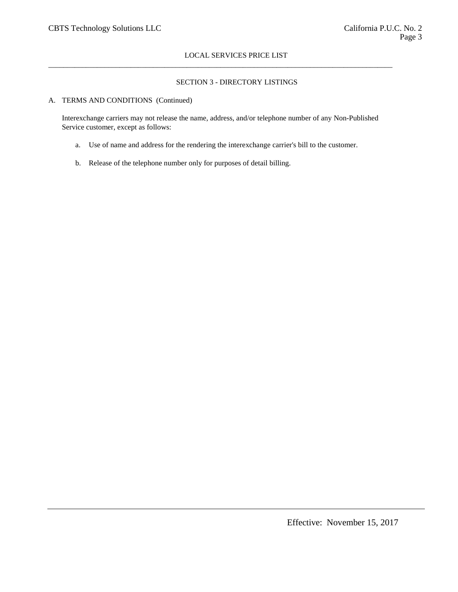# SECTION 3 - DIRECTORY LISTINGS

### A. TERMS AND CONDITIONS (Continued)

Interexchange carriers may not release the name, address, and/or telephone number of any Non-Published Service customer, except as follows:

 $\_$  ,  $\_$  ,  $\_$  ,  $\_$  ,  $\_$  ,  $\_$  ,  $\_$  ,  $\_$  ,  $\_$  ,  $\_$  ,  $\_$  ,  $\_$  ,  $\_$  ,  $\_$  ,  $\_$  ,  $\_$  ,  $\_$  ,  $\_$  ,  $\_$  ,  $\_$  ,  $\_$  ,  $\_$  ,  $\_$  ,  $\_$  ,  $\_$  ,  $\_$  ,  $\_$  ,  $\_$  ,  $\_$  ,  $\_$  ,  $\_$  ,  $\_$  ,  $\_$  ,  $\_$  ,  $\_$  ,  $\_$  ,  $\_$  ,

- a. Use of name and address for the rendering the interexchange carrier's bill to the customer.
- b. Release of the telephone number only for purposes of detail billing.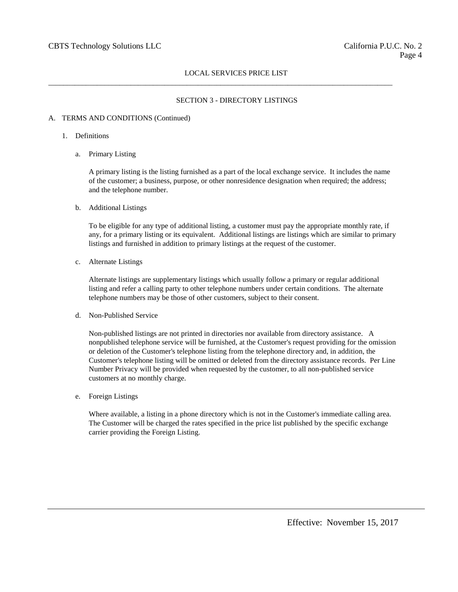$\_$  ,  $\_$  ,  $\_$  ,  $\_$  ,  $\_$  ,  $\_$  ,  $\_$  ,  $\_$  ,  $\_$  ,  $\_$  ,  $\_$  ,  $\_$  ,  $\_$  ,  $\_$  ,  $\_$  ,  $\_$  ,  $\_$  ,  $\_$  ,  $\_$  ,  $\_$  ,  $\_$  ,  $\_$  ,  $\_$  ,  $\_$  ,  $\_$  ,  $\_$  ,  $\_$  ,  $\_$  ,  $\_$  ,  $\_$  ,  $\_$  ,  $\_$  ,  $\_$  ,  $\_$  ,  $\_$  ,  $\_$  ,  $\_$  ,

### SECTION 3 - DIRECTORY LISTINGS

#### A. TERMS AND CONDITIONS (Continued)

- 1. Definitions
	- a. Primary Listing

A primary listing is the listing furnished as a part of the local exchange service. It includes the name of the customer; a business, purpose, or other nonresidence designation when required; the address; and the telephone number.

b. Additional Listings

To be eligible for any type of additional listing, a customer must pay the appropriate monthly rate, if any, for a primary listing or its equivalent. Additional listings are listings which are similar to primary listings and furnished in addition to primary listings at the request of the customer.

c. Alternate Listings

Alternate listings are supplementary listings which usually follow a primary or regular additional listing and refer a calling party to other telephone numbers under certain conditions. The alternate telephone numbers may be those of other customers, subject to their consent.

d. Non-Published Service

Non-published listings are not printed in directories nor available from directory assistance. A nonpublished telephone service will be furnished, at the Customer's request providing for the omission or deletion of the Customer's telephone listing from the telephone directory and, in addition, the Customer's telephone listing will be omitted or deleted from the directory assistance records. Per Line Number Privacy will be provided when requested by the customer, to all non-published service customers at no monthly charge.

e. Foreign Listings

Where available, a listing in a phone directory which is not in the Customer's immediate calling area. The Customer will be charged the rates specified in the price list published by the specific exchange carrier providing the Foreign Listing.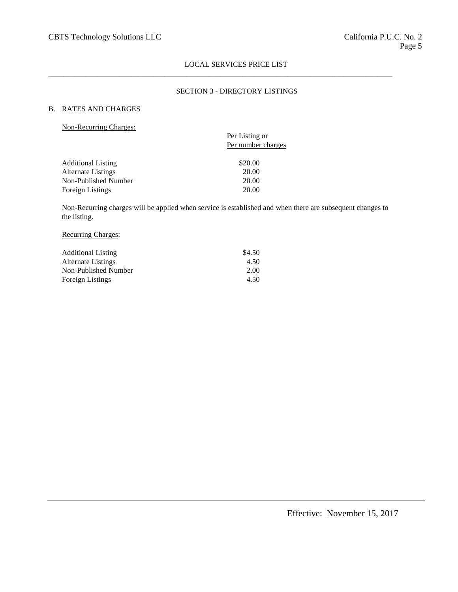$\_$  ,  $\_$  ,  $\_$  ,  $\_$  ,  $\_$  ,  $\_$  ,  $\_$  ,  $\_$  ,  $\_$  ,  $\_$  ,  $\_$  ,  $\_$  ,  $\_$  ,  $\_$  ,  $\_$  ,  $\_$  ,  $\_$  ,  $\_$  ,  $\_$  ,  $\_$  ,  $\_$  ,  $\_$  ,  $\_$  ,  $\_$  ,  $\_$  ,  $\_$  ,  $\_$  ,  $\_$  ,  $\_$  ,  $\_$  ,  $\_$  ,  $\_$  ,  $\_$  ,  $\_$  ,  $\_$  ,  $\_$  ,  $\_$  ,

# SECTION 3 - DIRECTORY LISTINGS

# B. RATES AND CHARGES

| Non-Recurring Charges: |  |
|------------------------|--|
|                        |  |

| Per Listing or<br>Per number charges |
|--------------------------------------|
| \$20.00                              |
| 20.00                                |
| 20.00                                |
| 20.00                                |
|                                      |

Non-Recurring charges will be applied when service is established and when there are subsequent changes to the listing.

# Recurring Charges:

| <b>Additional Listing</b> | \$4.50 |
|---------------------------|--------|
| Alternate Listings        | 4.50   |
| Non-Published Number      | 2.00   |
| Foreign Listings          | 4.50   |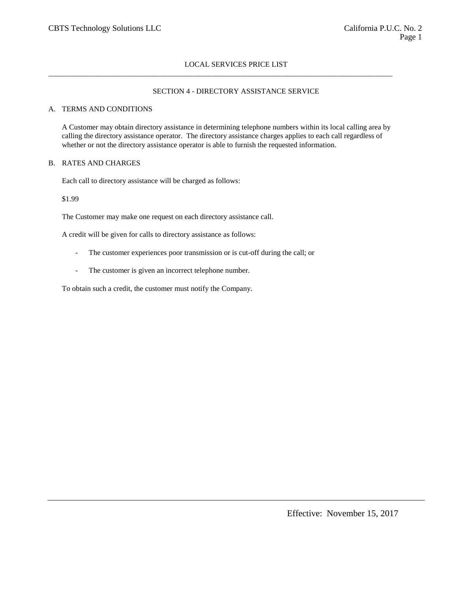$\_$  ,  $\_$  ,  $\_$  ,  $\_$  ,  $\_$  ,  $\_$  ,  $\_$  ,  $\_$  ,  $\_$  ,  $\_$  ,  $\_$  ,  $\_$  ,  $\_$  ,  $\_$  ,  $\_$  ,  $\_$  ,  $\_$  ,  $\_$  ,  $\_$  ,  $\_$  ,  $\_$  ,  $\_$  ,  $\_$  ,  $\_$  ,  $\_$  ,  $\_$  ,  $\_$  ,  $\_$  ,  $\_$  ,  $\_$  ,  $\_$  ,  $\_$  ,  $\_$  ,  $\_$  ,  $\_$  ,  $\_$  ,  $\_$  ,

### SECTION 4 - DIRECTORY ASSISTANCE SERVICE

#### A. TERMS AND CONDITIONS

A Customer may obtain directory assistance in determining telephone numbers within its local calling area by calling the directory assistance operator. The directory assistance charges applies to each call regardless of whether or not the directory assistance operator is able to furnish the requested information.

#### B. RATES AND CHARGES

Each call to directory assistance will be charged as follows:

#### \$1.99

The Customer may make one request on each directory assistance call.

A credit will be given for calls to directory assistance as follows:

- The customer experiences poor transmission or is cut-off during the call; or
- The customer is given an incorrect telephone number.

To obtain such a credit, the customer must notify the Company.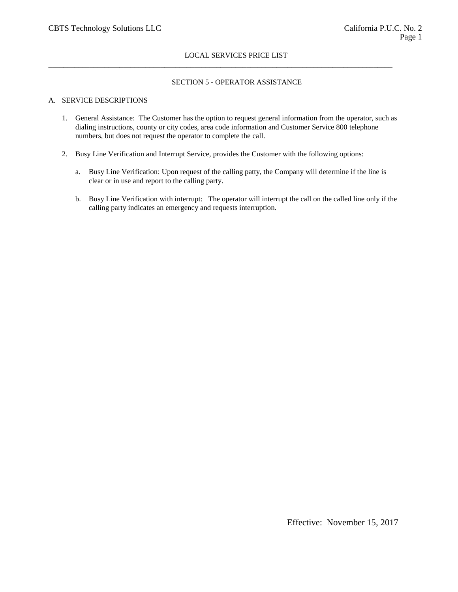$\_$  ,  $\_$  ,  $\_$  ,  $\_$  ,  $\_$  ,  $\_$  ,  $\_$  ,  $\_$  ,  $\_$  ,  $\_$  ,  $\_$  ,  $\_$  ,  $\_$  ,  $\_$  ,  $\_$  ,  $\_$  ,  $\_$  ,  $\_$  ,  $\_$  ,  $\_$  ,  $\_$  ,  $\_$  ,  $\_$  ,  $\_$  ,  $\_$  ,  $\_$  ,  $\_$  ,  $\_$  ,  $\_$  ,  $\_$  ,  $\_$  ,  $\_$  ,  $\_$  ,  $\_$  ,  $\_$  ,  $\_$  ,  $\_$  ,

### SECTION 5 - OPERATOR ASSISTANCE

# A. SERVICE DESCRIPTIONS

- 1. General Assistance: The Customer has the option to request general information from the operator, such as dialing instructions, county or city codes, area code information and Customer Service 800 telephone numbers, but does not request the operator to complete the call.
- 2. Busy Line Verification and Interrupt Service, provides the Customer with the following options:
	- a. Busy Line Verification: Upon request of the calling patty, the Company will determine if the line is clear or in use and report to the calling party.
	- b. Busy Line Verification with interrupt: The operator will interrupt the call on the called line only if the calling party indicates an emergency and requests interruption.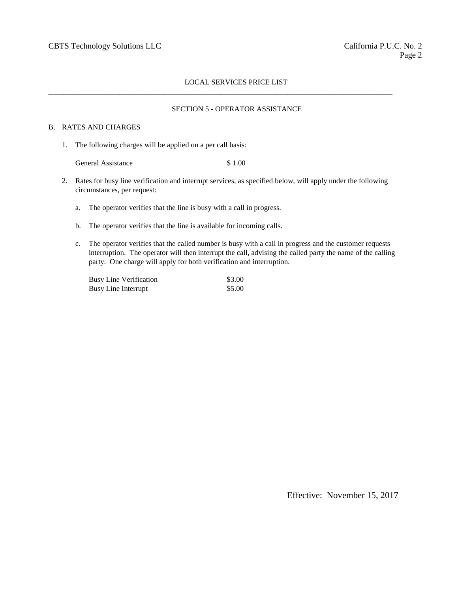$\_$  ,  $\_$  ,  $\_$  ,  $\_$  ,  $\_$  ,  $\_$  ,  $\_$  ,  $\_$  ,  $\_$  ,  $\_$  ,  $\_$  ,  $\_$  ,  $\_$  ,  $\_$  ,  $\_$  ,  $\_$  ,  $\_$  ,  $\_$  ,  $\_$  ,  $\_$  ,  $\_$  ,  $\_$  ,  $\_$  ,  $\_$  ,  $\_$  ,  $\_$  ,  $\_$  ,  $\_$  ,  $\_$  ,  $\_$  ,  $\_$  ,  $\_$  ,  $\_$  ,  $\_$  ,  $\_$  ,  $\_$  ,  $\_$  ,

#### SECTION 5 - OPERATOR ASSISTANCE

#### B. RATES AND CHARGES

1. The following charges will be applied on a per call basis:

General Assistance \$ 1.00

- 2. Rates for busy line verification and interrupt services, as specified below, will apply under the following circumstances, per request:
	- a. The operator verifies that the line is busy with a call in progress.
	- b. The operator verifies that the line is available for incoming calls.
	- c. The operator verifies that the called number is busy with a call in progress and the customer requests interruption. The operator will then interrupt the call, advising the called party the name of the calling party. One charge will apply for both verification and interruption.

| <b>Busy Line Verification</b> | \$3.00 |
|-------------------------------|--------|
| Busy Line Interrupt           | \$5.00 |

Effective: November 15, 2017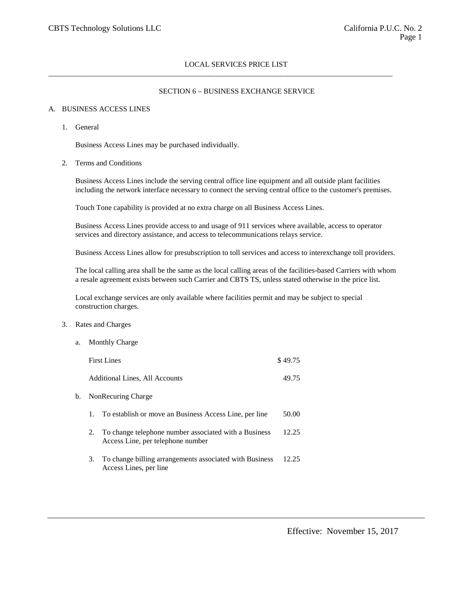$\_$  ,  $\_$  ,  $\_$  ,  $\_$  ,  $\_$  ,  $\_$  ,  $\_$  ,  $\_$  ,  $\_$  ,  $\_$  ,  $\_$  ,  $\_$  ,  $\_$  ,  $\_$  ,  $\_$  ,  $\_$  ,  $\_$  ,  $\_$  ,  $\_$  ,  $\_$  ,  $\_$  ,  $\_$  ,  $\_$  ,  $\_$  ,  $\_$  ,  $\_$  ,  $\_$  ,  $\_$  ,  $\_$  ,  $\_$  ,  $\_$  ,  $\_$  ,  $\_$  ,  $\_$  ,  $\_$  ,  $\_$  ,  $\_$  ,

### SECTION 6 – BUSINESS EXCHANGE SERVICE

### A. BUSINESS ACCESS LINES

1. General

Business Access Lines may be purchased individually.

2. Terms and Conditions

Business Access Lines include the serving central office line equipment and all outside plant facilities including the network interface necessary to connect the serving central office to the customer's premises.

Touch Tone capability is provided at no extra charge on all Business Access Lines.

Business Access Lines provide access to and usage of 911 services where available, access to operator services and directory assistance, and access to telecommunications relays service.

Business Access Lines allow for presubscription to toll services and access to interexchange toll providers.

The local calling area shall be the same as the local calling areas of the facilities-based Carriers with whom a resale agreement exists between such Carrier and CBTS TS, unless stated otherwise in the price list.

Local exchange services are only available where facilities permit and may be subject to special construction charges.

### 3. Rates and Charges

a. Monthly Charge

|    |    | <b>First Lines</b>                                                                         | \$49.75 |
|----|----|--------------------------------------------------------------------------------------------|---------|
|    |    | Additional Lines, All Accounts                                                             | 49.75   |
| b. |    | NonRecuring Charge                                                                         |         |
|    | 1. | To establish or move an Business Access Line, per line                                     | 50.00   |
|    | 2. | To change telephone number associated with a Business<br>Access Line, per telephone number | 12.25   |
|    | 3. | To change billing arrangements associated with Business<br>Access Lines, per line          | 12.25   |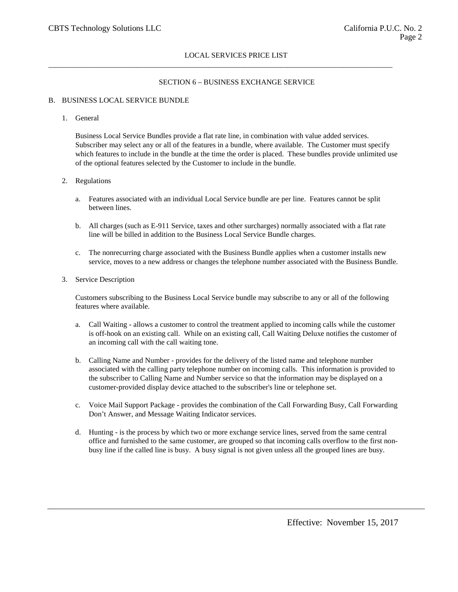$\_$  ,  $\_$  ,  $\_$  ,  $\_$  ,  $\_$  ,  $\_$  ,  $\_$  ,  $\_$  ,  $\_$  ,  $\_$  ,  $\_$  ,  $\_$  ,  $\_$  ,  $\_$  ,  $\_$  ,  $\_$  ,  $\_$  ,  $\_$  ,  $\_$  ,  $\_$  ,  $\_$  ,  $\_$  ,  $\_$  ,  $\_$  ,  $\_$  ,  $\_$  ,  $\_$  ,  $\_$  ,  $\_$  ,  $\_$  ,  $\_$  ,  $\_$  ,  $\_$  ,  $\_$  ,  $\_$  ,  $\_$  ,  $\_$  ,

### SECTION 6 – BUSINESS EXCHANGE SERVICE

#### B. BUSINESS LOCAL SERVICE BUNDLE

1. General

Business Local Service Bundles provide a flat rate line, in combination with value added services. Subscriber may select any or all of the features in a bundle, where available. The Customer must specify which features to include in the bundle at the time the order is placed. These bundles provide unlimited use of the optional features selected by the Customer to include in the bundle.

- 2. Regulations
	- a. Features associated with an individual Local Service bundle are per line. Features cannot be split between lines.
	- b. All charges (such as E-911 Service, taxes and other surcharges) normally associated with a flat rate line will be billed in addition to the Business Local Service Bundle charges.
	- c. The nonrecurring charge associated with the Business Bundle applies when a customer installs new service, moves to a new address or changes the telephone number associated with the Business Bundle.
- 3. Service Description

Customers subscribing to the Business Local Service bundle may subscribe to any or all of the following features where available.

- a. Call Waiting allows a customer to control the treatment applied to incoming calls while the customer is off-hook on an existing call. While on an existing call, Call Waiting Deluxe notifies the customer of an incoming call with the call waiting tone.
- b. Calling Name and Number provides for the delivery of the listed name and telephone number associated with the calling party telephone number on incoming calls. This information is provided to the subscriber to Calling Name and Number service so that the information may be displayed on a customer-provided display device attached to the subscriber's line or telephone set.
- c. Voice Mail Support Package provides the combination of the Call Forwarding Busy, Call Forwarding Don't Answer, and Message Waiting Indicator services.
- d. Hunting is the process by which two or more exchange service lines, served from the same central office and furnished to the same customer, are grouped so that incoming calls overflow to the first nonbusy line if the called line is busy. A busy signal is not given unless all the grouped lines are busy.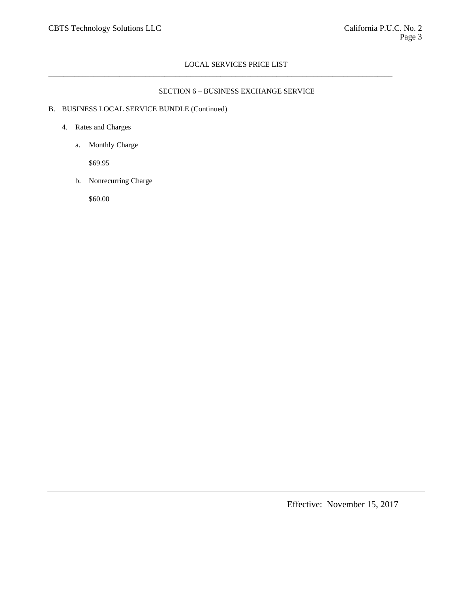$\_$  ,  $\_$  ,  $\_$  ,  $\_$  ,  $\_$  ,  $\_$  ,  $\_$  ,  $\_$  ,  $\_$  ,  $\_$  ,  $\_$  ,  $\_$  ,  $\_$  ,  $\_$  ,  $\_$  ,  $\_$  ,  $\_$  ,  $\_$  ,  $\_$  ,  $\_$  ,  $\_$  ,  $\_$  ,  $\_$  ,  $\_$  ,  $\_$  ,  $\_$  ,  $\_$  ,  $\_$  ,  $\_$  ,  $\_$  ,  $\_$  ,  $\_$  ,  $\_$  ,  $\_$  ,  $\_$  ,  $\_$  ,  $\_$  ,

# SECTION 6 – BUSINESS EXCHANGE SERVICE

# B. BUSINESS LOCAL SERVICE BUNDLE (Continued)

### 4. Rates and Charges

a. Monthly Charge

\$69.95

b. Nonrecurring Charge

\$60.00

Effective: November 15, 2017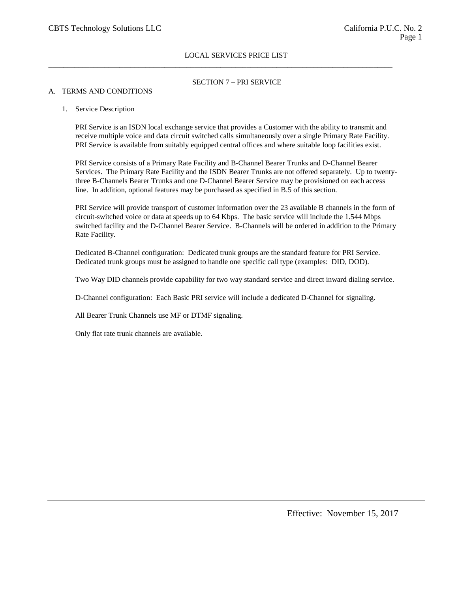$\_$  ,  $\_$  ,  $\_$  ,  $\_$  ,  $\_$  ,  $\_$  ,  $\_$  ,  $\_$  ,  $\_$  ,  $\_$  ,  $\_$  ,  $\_$  ,  $\_$  ,  $\_$  ,  $\_$  ,  $\_$  ,  $\_$  ,  $\_$  ,  $\_$  ,  $\_$  ,  $\_$  ,  $\_$  ,  $\_$  ,  $\_$  ,  $\_$  ,  $\_$  ,  $\_$  ,  $\_$  ,  $\_$  ,  $\_$  ,  $\_$  ,  $\_$  ,  $\_$  ,  $\_$  ,  $\_$  ,  $\_$  ,  $\_$  ,

# SECTION 7 – PRI SERVICE

### A. TERMS AND CONDITIONS

#### 1. Service Description

PRI Service is an ISDN local exchange service that provides a Customer with the ability to transmit and receive multiple voice and data circuit switched calls simultaneously over a single Primary Rate Facility. PRI Service is available from suitably equipped central offices and where suitable loop facilities exist.

PRI Service consists of a Primary Rate Facility and B-Channel Bearer Trunks and D-Channel Bearer Services. The Primary Rate Facility and the ISDN Bearer Trunks are not offered separately. Up to twentythree B-Channels Bearer Trunks and one D-Channel Bearer Service may be provisioned on each access line. In addition, optional features may be purchased as specified in B.5 of this section.

PRI Service will provide transport of customer information over the 23 available B channels in the form of circuit-switched voice or data at speeds up to 64 Kbps. The basic service will include the 1.544 Mbps switched facility and the D-Channel Bearer Service. B-Channels will be ordered in addition to the Primary Rate Facility.

Dedicated B-Channel configuration: Dedicated trunk groups are the standard feature for PRI Service. Dedicated trunk groups must be assigned to handle one specific call type (examples: DID, DOD).

Two Way DID channels provide capability for two way standard service and direct inward dialing service.

D-Channel configuration: Each Basic PRI service will include a dedicated D-Channel for signaling.

All Bearer Trunk Channels use MF or DTMF signaling.

Only flat rate trunk channels are available.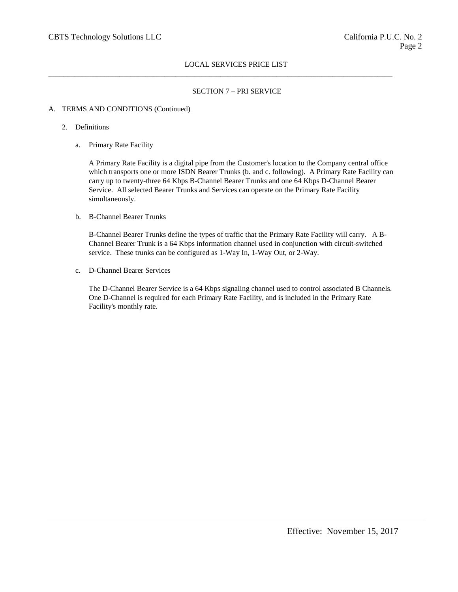$\_$  ,  $\_$  ,  $\_$  ,  $\_$  ,  $\_$  ,  $\_$  ,  $\_$  ,  $\_$  ,  $\_$  ,  $\_$  ,  $\_$  ,  $\_$  ,  $\_$  ,  $\_$  ,  $\_$  ,  $\_$  ,  $\_$  ,  $\_$  ,  $\_$  ,  $\_$  ,  $\_$  ,  $\_$  ,  $\_$  ,  $\_$  ,  $\_$  ,  $\_$  ,  $\_$  ,  $\_$  ,  $\_$  ,  $\_$  ,  $\_$  ,  $\_$  ,  $\_$  ,  $\_$  ,  $\_$  ,  $\_$  ,  $\_$  ,

# SECTION 7 – PRI SERVICE

## A. TERMS AND CONDITIONS (Continued)

- 2. Definitions
	- a. Primary Rate Facility

A Primary Rate Facility is a digital pipe from the Customer's location to the Company central office which transports one or more ISDN Bearer Trunks (b. and c. following). A Primary Rate Facility can carry up to twenty-three 64 Kbps B-Channel Bearer Trunks and one 64 Kbps D-Channel Bearer Service. All selected Bearer Trunks and Services can operate on the Primary Rate Facility simultaneously.

b. B-Channel Bearer Trunks

B-Channel Bearer Trunks define the types of traffic that the Primary Rate Facility will carry. A B-Channel Bearer Trunk is a 64 Kbps information channel used in conjunction with circuit-switched service. These trunks can be configured as 1-Way In, 1-Way Out, or 2-Way.

c. D-Channel Bearer Services

The D-Channel Bearer Service is a 64 Kbps signaling channel used to control associated B Channels. One D-Channel is required for each Primary Rate Facility, and is included in the Primary Rate Facility's monthly rate.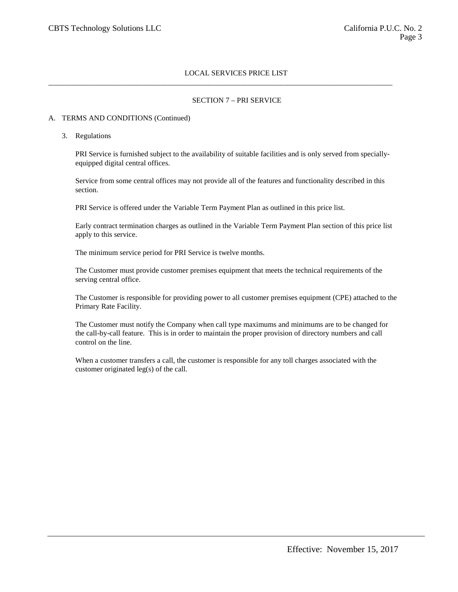$\_$  ,  $\_$  ,  $\_$  ,  $\_$  ,  $\_$  ,  $\_$  ,  $\_$  ,  $\_$  ,  $\_$  ,  $\_$  ,  $\_$  ,  $\_$  ,  $\_$  ,  $\_$  ,  $\_$  ,  $\_$  ,  $\_$  ,  $\_$  ,  $\_$  ,  $\_$  ,  $\_$  ,  $\_$  ,  $\_$  ,  $\_$  ,  $\_$  ,  $\_$  ,  $\_$  ,  $\_$  ,  $\_$  ,  $\_$  ,  $\_$  ,  $\_$  ,  $\_$  ,  $\_$  ,  $\_$  ,  $\_$  ,  $\_$  ,

## SECTION 7 – PRI SERVICE

#### A. TERMS AND CONDITIONS (Continued)

3. Regulations

PRI Service is furnished subject to the availability of suitable facilities and is only served from speciallyequipped digital central offices.

Service from some central offices may not provide all of the features and functionality described in this section.

PRI Service is offered under the Variable Term Payment Plan as outlined in this price list.

Early contract termination charges as outlined in the Variable Term Payment Plan section of this price list apply to this service.

The minimum service period for PRI Service is twelve months.

The Customer must provide customer premises equipment that meets the technical requirements of the serving central office.

The Customer is responsible for providing power to all customer premises equipment (CPE) attached to the Primary Rate Facility.

The Customer must notify the Company when call type maximums and minimums are to be changed for the call-by-call feature. This is in order to maintain the proper provision of directory numbers and call control on the line.

When a customer transfers a call, the customer is responsible for any toll charges associated with the customer originated leg(s) of the call.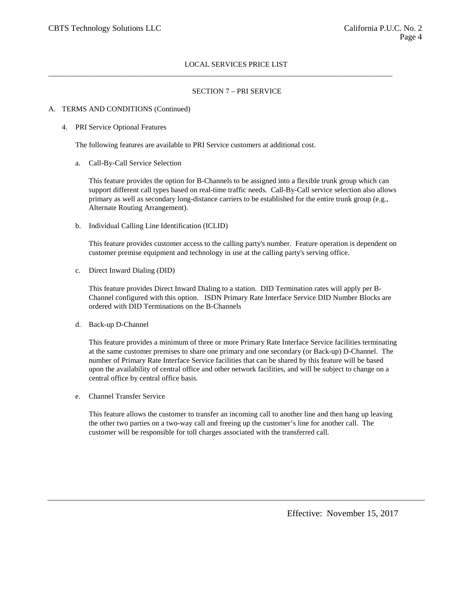$\_$  ,  $\_$  ,  $\_$  ,  $\_$  ,  $\_$  ,  $\_$  ,  $\_$  ,  $\_$  ,  $\_$  ,  $\_$  ,  $\_$  ,  $\_$  ,  $\_$  ,  $\_$  ,  $\_$  ,  $\_$  ,  $\_$  ,  $\_$  ,  $\_$  ,  $\_$  ,  $\_$  ,  $\_$  ,  $\_$  ,  $\_$  ,  $\_$  ,  $\_$  ,  $\_$  ,  $\_$  ,  $\_$  ,  $\_$  ,  $\_$  ,  $\_$  ,  $\_$  ,  $\_$  ,  $\_$  ,  $\_$  ,  $\_$  ,

### SECTION 7 – PRI SERVICE

#### A. TERMS AND CONDITIONS (Continued)

#### 4. PRI Service Optional Features

The following features are available to PRI Service customers at additional cost.

a. Call-By-Call Service Selection

This feature provides the option for B-Channels to be assigned into a flexible trunk group which can support different call types based on real-time traffic needs. Call-By-Call service selection also allows primary as well as secondary long-distance carriers to be established for the entire trunk group (e.g., Alternate Routing Arrangement).

b. Individual Calling Line Identification (ICLID)

This feature provides customer access to the calling party's number. Feature operation is dependent on customer premise equipment and technology in use at the calling party's serving office.

c. Direct Inward Dialing (DID)

This feature provides Direct Inward Dialing to a station. DID Termination rates will apply per B-Channel configured with this option. ISDN Primary Rate Interface Service DID Number Blocks are ordered with DID Terminations on the B-Channels

d. Back-up D-Channel

This feature provides a minimum of three or more Primary Rate Interface Service facilities terminating at the same customer premises to share one primary and one secondary (or Back-up) D-Channel. The number of Primary Rate Interface Service facilities that can be shared by this feature will be based upon the availability of central office and other network facilities, and will be subject to change on a central office by central office basis.

e. Channel Transfer Service

This feature allows the customer to transfer an incoming call to another line and then hang up leaving the other two parties on a two-way call and freeing up the customer's line for another call. The customer will be responsible for toll charges associated with the transferred call.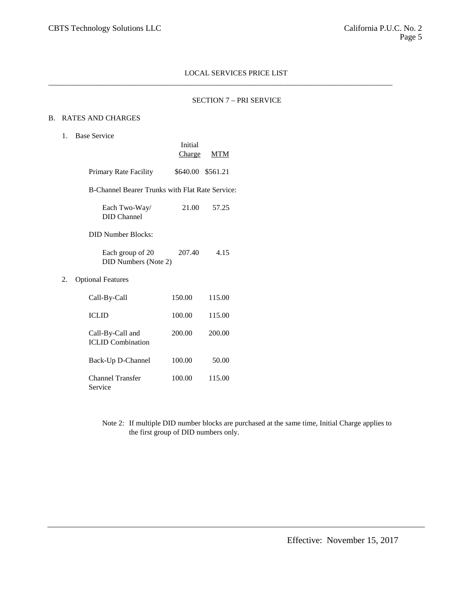$\_$  ,  $\_$  ,  $\_$  ,  $\_$  ,  $\_$  ,  $\_$  ,  $\_$  ,  $\_$  ,  $\_$  ,  $\_$  ,  $\_$  ,  $\_$  ,  $\_$  ,  $\_$  ,  $\_$  ,  $\_$  ,  $\_$  ,  $\_$  ,  $\_$  ,  $\_$  ,  $\_$  ,  $\_$  ,  $\_$  ,  $\_$  ,  $\_$  ,  $\_$  ,  $\_$  ,  $\_$  ,  $\_$  ,  $\_$  ,  $\_$  ,  $\_$  ,  $\_$  ,  $\_$  ,  $\_$  ,  $\_$  ,  $\_$  ,

### SECTION 7 – PRI SERVICE

### B. RATES AND CHARGES

### 1. Base Service

|    |                                                 | Initial<br>Charge | MTM    |
|----|-------------------------------------------------|-------------------|--------|
|    | Primary Rate Facility                           | \$640.00 \$561.21 |        |
|    | B-Channel Bearer Trunks with Flat Rate Service: |                   |        |
|    | Each Two-Way/<br><b>DID</b> Channel             | 21.00             | 57.25  |
|    | <b>DID Number Blocks:</b>                       |                   |        |
|    | Each group of 20<br>DID Numbers (Note 2)        | 207.40            | 4.15   |
| 2. | <b>Optional Features</b>                        |                   |        |
|    | Call-By-Call                                    | 150.00            | 115.00 |
|    | <b>ICLID</b>                                    | 100.00            | 115.00 |
|    | Call-By-Call and<br><b>ICLID</b> Combination    | 200.00            | 200.00 |
|    | Back-Up D-Channel                               | 100.00            | 50.00  |
|    | Channel Transfer<br>Service                     | 100.00            | 115.00 |

Note 2: If multiple DID number blocks are purchased at the same time, Initial Charge applies to the first group of DID numbers only.